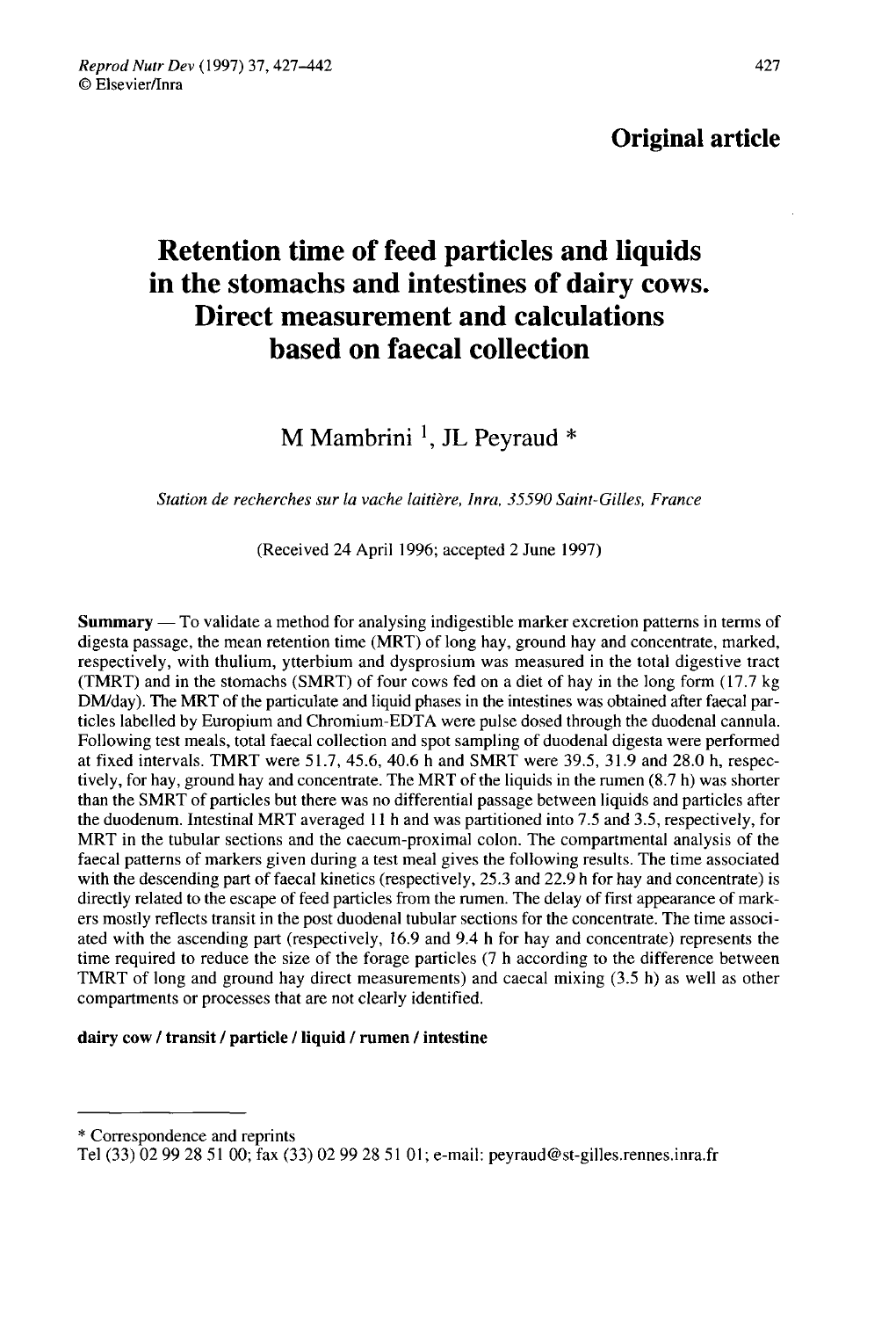## Original article

# Retention time of feed particles and liquids in the stomachs and intestines of dairy cows. Direct measurement and calculations based on faecal collection

M Mambrini<sup>1</sup>, JL Peyraud  $*$ 

Station de recherches sur la vache laitière, Inra, 35590 Saint-Gilles, France

(Received 24 April 1996; accepted 2 June 1997)

Summary ― To validate a method for analysing indigestible marker excretion patterns in terms of digesta passage, the mean retention time (MRT) of long hay, ground hay and concentrate, marked, respectively, with thulium, ytterbium and dysprosium was measured in the total digestive tract (TMRT) and in the stomachs (SMRT) of four cows fed on a diet of hay in the long form (17.7 kg DM/day). The MRT of the particulate and liquid phases in the intestines was obtained after faecal particles labelled by Europium and Chromium-EDTA were pulse dosed through the duodenal cannula. at fixed intervals. TMRT were 51.7, 45.6, 40.6 h and SMRT were 39.5, 31.9 and 28.0 h, respectively, for hay, ground hay and concentrate. The MRT of the liquids in the rumen (8.7 h) was shorter than the SMRT of particles but there was no differential passage between liquids and particles after the duodenum. Intestinal MRT averaged 11 h and was partitioned into 7.5 and 3.5, respectively, for MRT in the tubular sections and the caecum-proximal colon. The compartmental analysis of the faecal patterns of markers given during a test meal gives the following results. The time associated with the descending part of faecal kinetics (respectively, 25.3 and 22.9 h for hay and concentrate) is directly related to the escape of feed particles from the rumen. The delay of first appearance of markers mostly reflects transit in the post duodenal tubular sections for the concentrate. The time associated with the ascending part (respectively, 16.9 and 9.4 h for hay and concentrate) represents the time required to reduce the size of the forage particles (7 h according to the difference between TMRT of long and ground hay direct measurements) and caecal mixing (3.5 h) as well as other compartments or processes that are not clearly identified.

#### dairy cow / transit / particle / liquid / rumen / intestine

\* Correspondence and reprints

Tel (33) 02 99 28 51 00; fax (33) 02 99 28 51 O1; e-mail: peyraud@st-gilles.rennes.inra.fr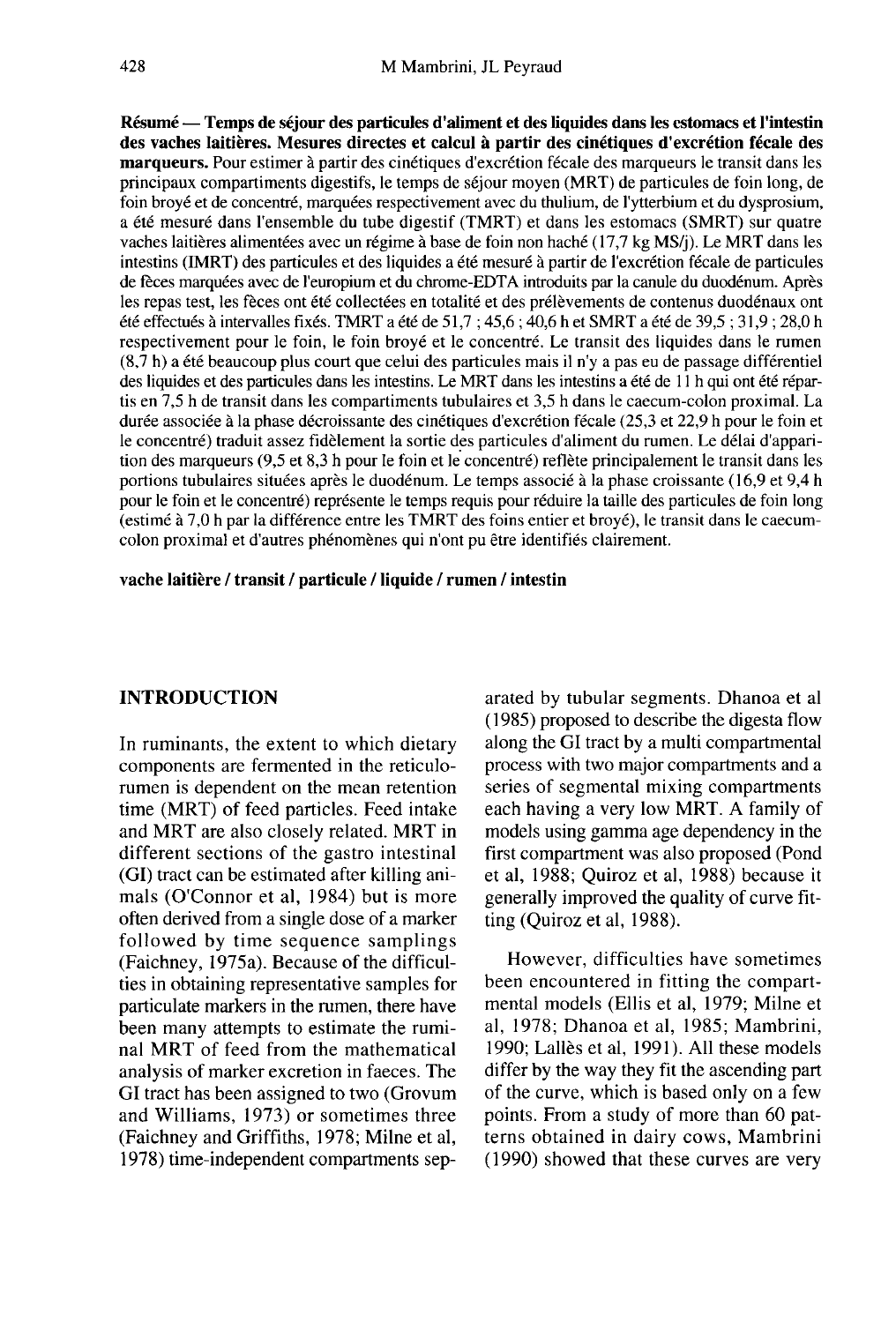Résumé ― Temps de séjour des particules d'aliment et des liquides dans les estomacs et l'intestin des vaches laitières. Mesures directes et calcul à partir des cinétiques d'excrétion fécale des marqueurs. Pour estimer à partir des cinétiques d'excrétion fécale des marqueurs le transit dans les principaux compartiments digestifs, le temps de séjour moyen (MRT) de particules de foin long, de foin broyé et de concentré, marquées respectivement avec du thulium, de l'ytterbium et du dysprosium, a été mesuré dans l'ensemble du tube digestif (TMRT) et dans les estomacs (SMRT) sur quatre vaches laitières alimentées avec un régime à base de foin non haché (17,7 kg MS/j). Le MRT dans les intestins (IMRT) des particules et des liquides a été mesuré à partir de l'excrétion fécale de particules de fèces marquées avec de l'europium et du chrome-EDTA introduits par la canule du duodénum. Après les repas test, les fèces ont été collectées en totalité et des prélèvements de contenus duodénaux ont été effectués à intervalles fixés. TMRT a été de 51,7 ; 45,6 ; 40,6 h et SMRT a été de 39,5 ; 31,9 ; 28,0 h respectivement pour le foin, le foin broyé et le concentré. Le transit des liquides dans le rumen (8,7 h) a été beaucoup plus court que celui des particules mais il n'y a pas eu de passage différentiel des liquides et des particules dans les intestins. Le MRT dans les intestins a été de 11 h qui ont été répartis en 7,5 h de transit dans les compartiments tubulaires et 3,5 h dans le caecum-colon proximal. La durée associée à la phase décroissante des cinétiques d'excrétion fécale (25,3 et 22,9 h pour le foin et le concentré) traduit assez fidèlement la sortie des particules d'aliment du rumen. Le délai d'apparition des marqueurs (9,5 et 8,3 h pour le foin et le concentré) reflète principalement le transit dans les portions tubulaires situées après le duodénum. Le temps associé à la phase croissante (16,9 et 9,4 h pour le foin et le concentré) représente le temps requis pour réduire la taille des particules de foin long (estimé à 7,0 h par la différence entre les TMRT des foins entier et broyé), le transit dans le caecumcolon proximal et d'autres phénomènes qui n'ont pu être identifiés clairement.

vache laitière / transit / particule / liquide / rumen / intestin

## INTRODUCTION

In ruminants, the extent to which dietary components are fermented in the reticulorumen is dependent on the mean retention time (MRT) of feed particles. Feed intake and MRT are also closely related. MRT in different sections of the gastro intestinal (GI) tract can be estimated after killing animals (O'Connor et al, 1984) but is more often derived from a single dose of a marker followed by time sequence samplings (Faichney, 1975a). Because of the difficulties in obtaining representative samples for particulate markers in the rumen, there have been many attempts to estimate the ruminal MRT of feed from the mathematical analysis of marker excretion in faeces. The GI tract has been assigned to two (Grovum and Williams, 1973) or sometimes three (Faichney and Griffiths, 1978; Milne et al, 1978) time-independent compartments separated by tubular segments. Dhanoa et al ( 1985) proposed to describe the digesta flow along the GI tract by a multi compartmental process with two major compartments and a series of segmental mixing compartments each having a very low MRT. A family of models using gamma age dependency in the first compartment was also proposed (Pond et al, 1988; Quiroz et al, 1988) because it generally improved the quality of curve fitting (Quiroz et al, 1988).

However, difficulties have sometimes been encountered in fitting the compartmental models (Ellis et al, 1979; Milne et al, 1978; Dhanoa et al, 1985; Mambrini, 1990; Lallès et al, 1991). All these models differ by the way they fit the ascending part of the curve, which is based only on a few points. From a study of more than 60 pat terns obtained in dairy cows, Mambrini (1990) showed that these curves are very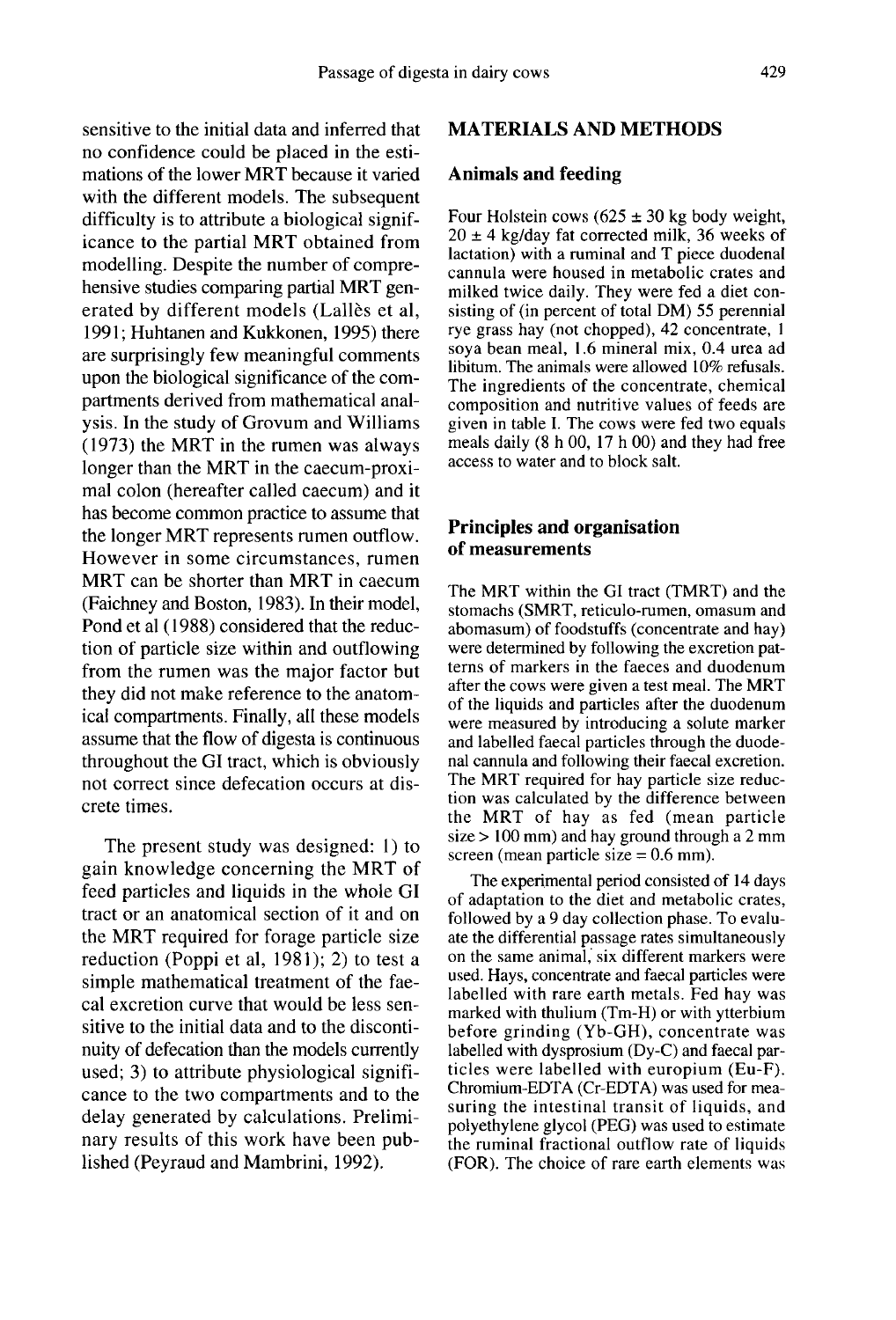sensitive to the initial data and inferred that no confidence could be placed in the estimations of the lower MRT because it varied with the different models. The subsequent difficulty is to attribute a biological significance to the partial MRT obtained from modelling. Despite the number of comprehensive studies comparing partial MRT generated by different models (Lalles et al, 1991; Huhtanen and Kukkonen, 1995) there are surprisingly few meaningful comments upon the biological significance of the compartments derived from mathematical analysis. In the study of Grovum and Williams (1973) the MRT in the rumen was always longer than the MRT in the caecum-proximal colon (hereafter called caecum) and it has become common practice to assume that the longer MRT represents rumen outflow. However in some circumstances, rumen MRT can be shorter than MRT in caecum (Faichney and Boston, 1983). In their model, Pond et al (1988) considered that the reduction of particle size within and outflowing from the rumen was the major factor but they did not make reference to the anatomical compartments. Finally, all these models assume that the flow of digesta is continuous throughout the GI tract, which is obviously not correct since defecation occurs at discrete times.

The present study was designed: 1) to gain knowledge concerning the MRT of feed particles and liquids in the whole GI tract or an anatomical section of it and on the MRT required for forage particle size reduction (Poppi et al, 1981); 2) to test a simple mathematical treatment of the faecal excretion curve that would be less sensitive to the initial data and to the discontinuity of defecation than the models currently used; 3) to attribute physiological signifi cance to the two compartments and to the delay generated by calculations. Preliminary results of this work have been published (Peyraud and Mambrini, 1992).

## MATERIALS AND METHODS

## Animals and feeding

Four Holstein cows  $(625 \pm 30 \text{ kg}$  body weight,  $20 \pm 4$  kg/day fat corrected milk, 36 weeks of lactation) with a ruminal and T piece duodenal cannula were housed in metabolic crates and milked twice daily. They were fed a diet consisting of (in percent of total DM) 55 perennial rye grass hay (not chopped), 42 concentrate, 1 soya bean meal, 1.6 mineral mix, 0.4 urea ad libitum. The animals were allowed 10% refusals. The ingredients of the concentrate, chemical composition and nutritive values of feeds are given in table I. The cows were fed two equals meals daily (8 h 00, 17 h 00) and they had free access to water and to block salt.

## Principles and organisation of measurements

The MRT within the GI tract (TMRT) and the stomachs (SMRT, reticulo-rumen, omasum and abomasum) of foodstuffs (concentrate and hay)<br>were determined by following the excretion patterns of markers in the faeces and duodenum after the cows were given a test meal. The MRT of the liquids and particles after the duodenum were measured by introducing a solute marker and labelled faecal particles through the duodenal cannula and following their faecal excretion. The MRT required for hay particle size reduction was calculated by the difference between the MRT of hay as fed (mean particle size > 100 mm) and hay ground through a 2 mm screen (mean particle size  $= 0.6$  mm).

The experimental period consisted of 14 days of adaptation to the diet and metabolic crates, followed by a 9 day collection phase. To evaluate the differential passage rates simultaneously on the same animal, six different markers were used. Hays, concentrate and faecal particles were labelled with rare earth metals. Fed hay was marked with thulium (Tm-H) or with ytterbium before grinding (Yb-GH), concentrate was labelled with dysprosium (Dy-C) and faecal particles were labelled with europium (Eu-F). Chromium-EDTA (Cr-EDTA) was used for measuring the intestinal transit of liquids, and polyethylene glycol (PEG) was used to estimate the ruminal fractional outflow rate of liquids (FOR). The choice of rare earth elements was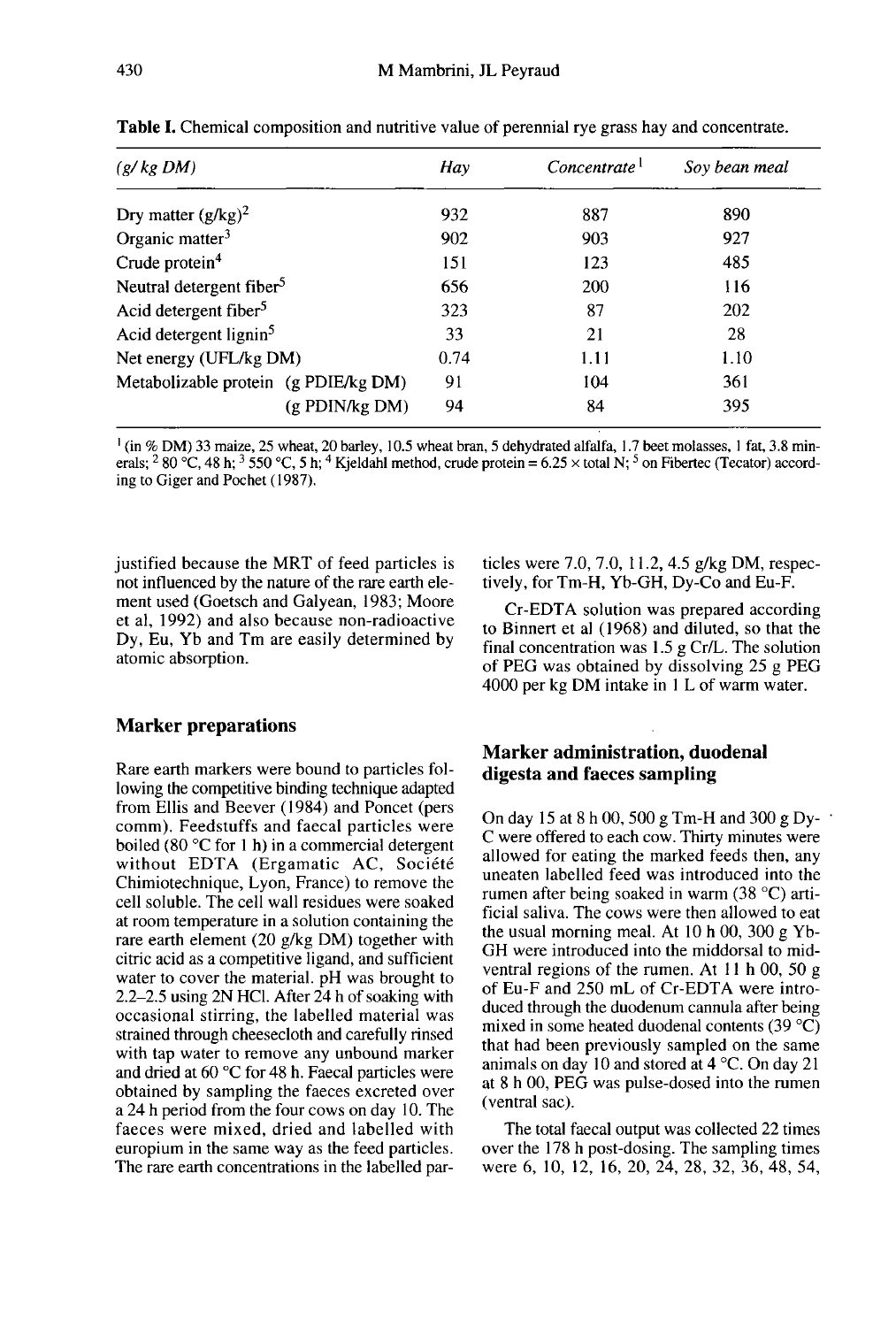| (g/kg DM)                            | Hay  | Concentrate <sup>1</sup> | Sov bean meal |  |
|--------------------------------------|------|--------------------------|---------------|--|
|                                      |      |                          |               |  |
| Dry matter $(g/kg)^2$                | 932  | 887                      | 890           |  |
| Organic matter $3$                   | 902  | 903                      | 927           |  |
| Crude protein <sup>4</sup>           | 151  | 123                      | 485           |  |
| Neutral detergent fiber <sup>5</sup> | 656  | 200                      | 116           |  |
| Acid detergent fiber <sup>5</sup>    | 323  | 87                       | <b>202</b>    |  |
| Acid detergent lignin <sup>5</sup>   | 33   | 21                       | 28            |  |
| Net energy (UFL/kg DM)               | 0.74 | 1.11                     | 1.10          |  |

Table I. Chemical composition and nutritive value of perennial rye grass hay and concentrate.

<sup>1</sup> (in % DM) 33 maize, 25 wheat, 20 barley, 10.5 wheat bran, 5 dehydrated alfalfa, 1.7 beet molasses, 1 fat, 3.8 minerals; <sup>2</sup> 80 °C, 48 h; <sup>3</sup> 550 °C, 5 h; <sup>4</sup> Kjeldahl method, crude protein = 6.25 × total N; <sup>5</sup> on Fibertec (Tecator) according to Giger and Pochet (1987).

91

Q4

justified because the MRT of feed particles is not influenced by the nature of the rare earth element used (Goetsch and Galyean, 1983; Moore et al, 1992) and also because non-radioactive Dy, Eu, Yb and Tm are easily determined by atomic absorption.

Metabolizable protein (g PDIE/kg DM)

 $(g$  PDIN/ $kg$  DM)

## Marker preparations

Rare earth markers were bound to particles following the competitive binding technique adapted from Ellis and Beever (1984) and Poncet (pers comm). Feedstuffs and faecal particles were boiled (80 °C for 1 h) in a commercial detergent without EDTA (Ergamatic AC, Société Chimiotechnique, Lyon, France) to remove the cell soluble. The cell wall residues were soaked at room temperature in a solution containing the rare earth element (20 g/kg DM) together with citric acid as a competitive ligand, and sufficient water to cover the material. pH was brought to 2.2-2.5 using 2N HCI. After 24 h of soaking with occasional stirring, the labelled material was strained through cheesecloth and carefully rinsed with tap water to remove any unbound marker and dried at 60 °C for 48 h. Faecal particles were obtained by sampling the faeces excreted over a 24 h period from the four cows on day 10. The faeces were mixed, dried and labelled with europium in the same way as the feed particles. The rare earth concentrations in the labelled particles were 7.0, 7.0, I 1.2, 4.5 g/kg DM, respectively, for Tm-H, Yb-GH, Dy-Co and Eu-F.

361 395

104

84

Cr-EDTA solution was prepared according to Binnert et al ( 1968) and diluted, so that the final concentration was 1.5 g Cr/L. The solution of PEG was obtained by dissolving 25 g PEG 4000 per kg DM intake in 1 L of warm water.

## Marker administration, duodenal digesta and faeces sampling

On day 15 at 8 h 00, 500 g Tm-H and 300 g Dy-C were offered to each cow. Thirty minutes were allowed for eating the marked feeds then, any uneaten labelled feed was introduced into the rumen after being soaked in warm (38 °C) artificial saliva. The cows were then allowed to eat the usual morning meal. At 10 h 00, 300 g Yb-GH were introduced into the middorsal to midventral regions of the rumen. At 11 h 00, 50 g of Eu-F and 250 mL of Cr-EDTA were introduced through the duodenum cannula after being mixed in some heated duodenal contents (39 °C) that had been previously sampled on the same animals on day 10 and stored at  $4^{\circ}$ C. On day 21 at 8 h 00, PEG was pulse-dosed into the rumen (ventral sac).

The total faecal output was collected 22 times over the 178 h post-dosing. The sampling times were 6, 10, 12, 16, 20, 24, 28, 32, 36, 48, 54,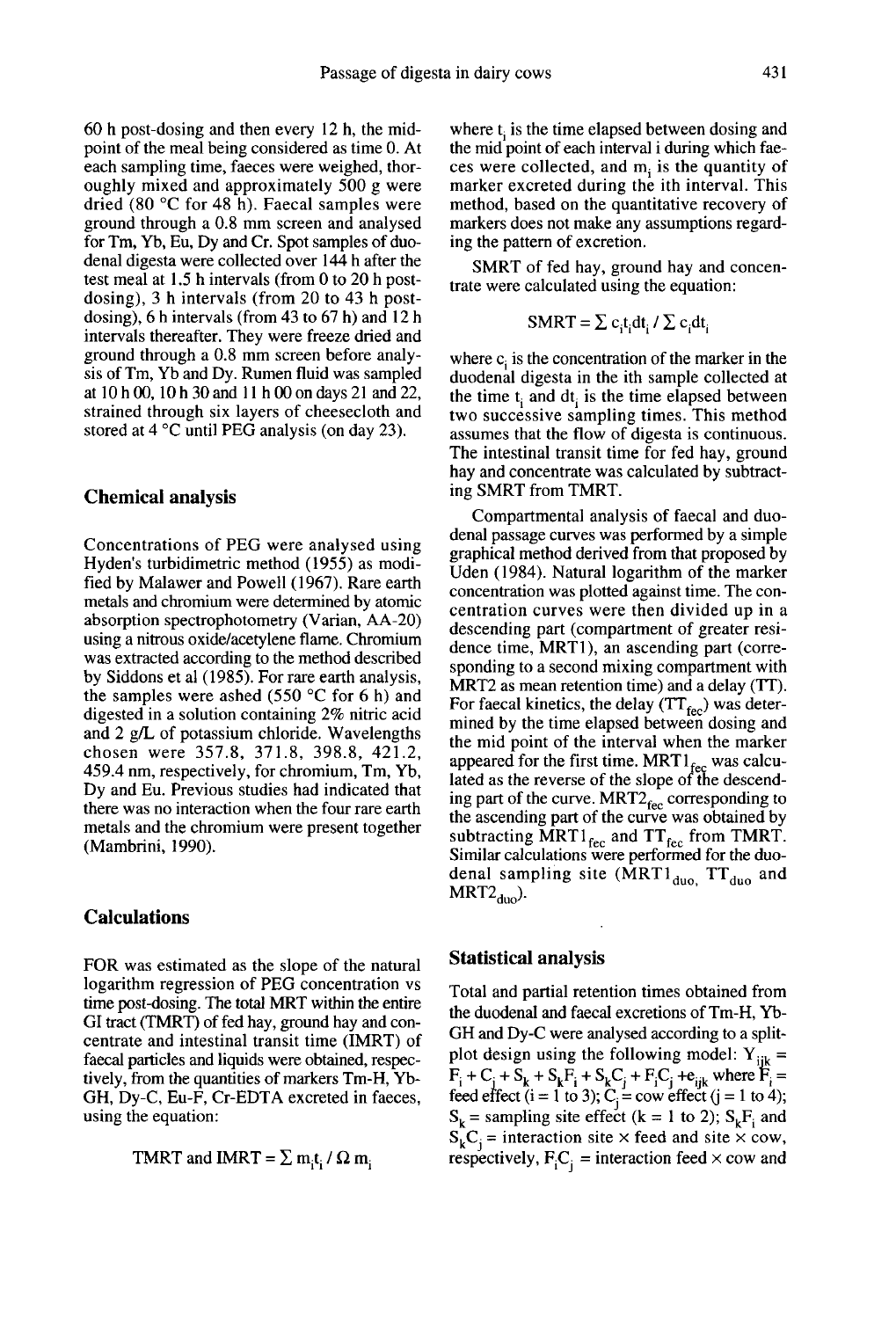60 h post-dosing and then every 12 h, the midpoint of the meal being considered as time 0. At each sampling time, faeces were weighed, thoroughly mixed and approximately 500 g were dried (80 °C for 48 h). Faecal samples were ground through a 0.8 mm screen and analysed for Tm, Yb, Eu, Dy and Cr. Spot samples of duodenal digesta were collected over 144 h after the test meal at 1.5 h intervals (from 0 to 20 h postdosing), 3 h intervals (from 20 to 43 h postdosing), 6 h intervals (from 43 to 67 h) and 12 h intervals thereafter. They were freeze dried and ground through a 0.8 mm screen before analyat  $10$  h 00,  $10$  h 30 and  $11$  h 00 on days 21 and 22, strained through six layers of cheesecloth and stored at 4 °C until PEG analysis (on day 23).

#### Chemical analysis

Concentrations of PEG were analysed using Hyden's turbidimetric method (1955) as modified by Malawer and Powell (1967). Rare earth metals and chromium were determined by atomic absorption spectrophotometry (Varian, AA-20) using a nitrous oxide/acetylene flame. Chromium was extracted according to the method described by Siddons et al (1985). For rare earth analysis, the samples were ashed (550  $\degree$ C for 6 h) and digested in a solution containing 2% nitric acid and 2 g/L of potassium chloride. Wavelengths chosen were 357.8, 371.8, 398.8, 421.2, 459.4 nm, respectively, for chromium, Tm, Yb, Dy and Eu. Previous studies had indicated that there was no interaction when the four rare earth metals and the chromium were present together (Mambrini, 1990).

### Calculations

FOR was estimated as the slope of the natural logarithm regression of PEG concentration vs time post-dosing. The total MRT within the entire GI tract (TMRT) of fed hay, ground hay and concentrate and intestinal transit time (IMRT) of faecal particles and liquids were obtained, respectively, from the quantities of markers Tm-H, Yb-GH, Dy-C, Eu-F, Cr-EDTA excreted in faeces, using the equation:

TMRT and IMRT =  $\sum m_i t_i / \Omega m_i$ 

where  $t_i$  is the time elapsed between dosing and the mid point of each interval i during which faeces were collected, and  $m<sub>i</sub>$  is the quantity of marker excreted during the ith interval. This method, based on the quantitative recovery of markers does not make any assumptions regarding the pattern of excretion.

SMRT of fed hay, ground hay and concentrate were calculated using the equation:

$$
SMRT = \sum c_i t_i dt_i / \sum c_i dt_i
$$

where  $c_i$  is the concentration of the marker in the duodenal digesta in the ith sample collected at the time  $t_i$  and  $dt_i$  is the time elapsed between two successive sampling times. This method assumes that the flow of digesta is continuous. The intestinal transit time for fed hay, ground hay and concentrate was calculated by subtracting SMRT from TMRT.

Compartmental analysis of faecal and duodenal passage curves was performed by a simple graphical method derived from that proposed by Uden (1984). Natural logarithm of the marker concentration was plotted against time. The concentration curves were then divided up in a descending part (compartment of greater residence time, MRT1), an ascending part (corresponding to a second mixing compartment with MRT2 as mean retention time) and a delay (TT).<br>For faecal kinetics, the delay (TT<sub>fec</sub>) was detersponding to a second mixing compartment with MRT2 as mean retention time) and a delay (TT).<br>For faecal kinetics, the delay (TT<sub>fec</sub>) was deter-<br>mined by the time elapsed between dosing and the mid point of the interval when the marker appeared for the first time.  $MRT1_{\text{fcc}}$  was calculated as the reverse of the slope of the descendthe mid point of the interval when the marker<br>appeared for the first time. MRT  $I_{\text{fec}}$  was calculated as the reverse of the slope of the descend-<br>ing part of the curve. MRT2 $_{\text{fec}}$  corresponding to<br>the ascending part the ascending part of the curve was obtained by subtracting  $MRT1_{\text{fcc}}$  and  $TT_{\text{fcc}}$  from TMRT.<br>Similar calculations were performed for the duolated as the reverse of the slope of the descending part of the curve.  $MRT2_{\text{fcc}}$  corresponding to the ascending part of the curve was obtained by subtracting  $MRT1_{\text{fcc}}$  and  $TT_{\text{fcc}}$  from TMRT. Similar calculations wer

#### Statistical analysis

Total and partial retention times obtained from the duodenal and faecal excretions of Tm-H, Yb-GH and Dy-C were analysed according to a splitplot design using the following model:  $Y_{ijk}$  = plot design using the following model:  $Y_{ijk} = F_i + C_j + S_k + S_kF_i + S_kC_j + F_iC_j + e_{ijk}$  where  $F_i =$ feed effect (i = 1 to 3);  $C_j = \text{row effect}$  (i = 1 to 4);<br> $S_k = \text{sampling site effect}$  (k = 1 to 2);  $S_kF_i$  and<br> $S_k = \text{transformation site} \times \text{feed and site} \times \text{conv}$ .  $S_k$  = sampling site effect (k = 1 to 2);  $S_kF_i$  and  $S_kC_i$  = interaction site × feed and site × cow, respectively,  $F_iC_i$  = interaction feed  $\times$  cow and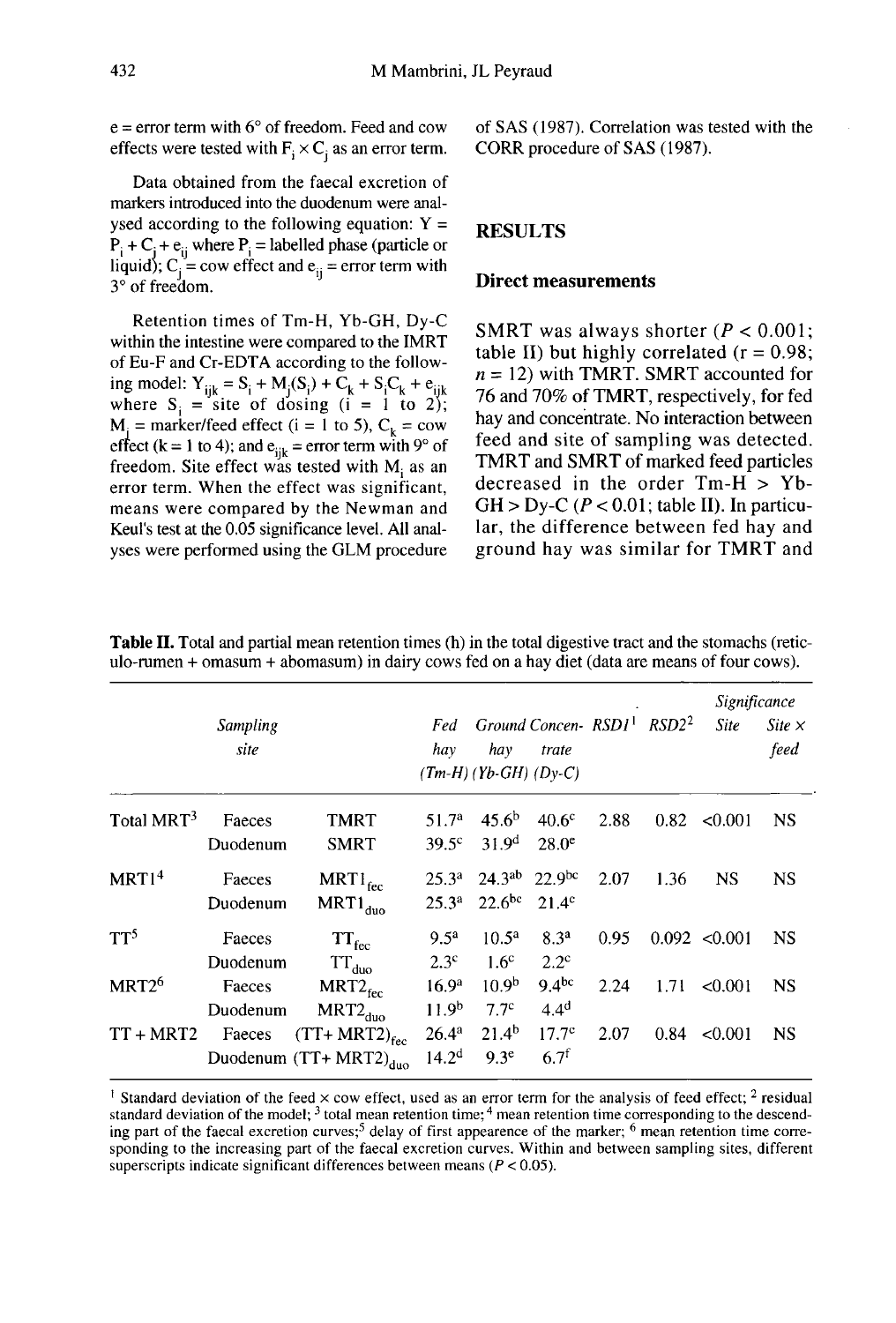$e =$  error term with  $6^{\circ}$  of freedom. Feed and cow effects were tested with  $F_i \times C_i$  as an error term.

Data obtained from the faecal excretion of markers introduced into the duodenum were analysed according to the following equation:  $Y =$  $P_i + C_j + e_{ij}$  where  $P_i$  = labelled phase (particle or liquid);  $C_j$  = cow effect and  $e_{ij}$  = error term with 3° of freedom.

Retention times of Tm-H, Yb-GH, Dy-C within the intestine were compared to the IMRT of Eu-F and Cr-EDTA according to the following model:  $Y_{ijk} = S_i + M_j(S_i) + C_k + S_iC_k + e_{ijk}$ <br>where  $S_j$  = site of dosing (i = 1 to 2);  $M_i$  = marker/feed effect (i = 1 to 5),  $C_k$  = cow effect (k = 1 to 4); and  $e_{ijk}$  = error term with 9° of freedom. Site effect was tested with  $M_i$  as an error term. When the effect was significant. means were compared by the Newman and Keul's test at the 0.05 significance level. All analyses were performed using the GLM procedure of SAS (1987). Correlation was tested with the CORR procedure of SAS (1987).

## RESULTS

#### Direct measurements

SMRT was always shorter  $(P < 0.001$ ; table II) but highly correlated ( $r = 0.98$ ; n = 12) with TMRT. SMRT accounted for 76 and 70% of TMRT, respectively, for fed hay and concentrate. No interaction between feed and site of sampling was detected. TMRT and SMRT of marked feed particles decreased in the order Tm-H > Yb- $GH > Dy-C$  ( $P < 0.01$ ; table II). In particular, the difference between fed hay and ground hay was similar for TMRT and

|                        | Sampling<br>site   |                                                                  | hay                                    | Fed Ground Concen-RSD1 <sup>1</sup> RSD2 <sup>2</sup><br>hay<br>$(Tm-H)$ (Yb-GH) (Dy-C) | trate                                 |      |      | Significance<br><b>Site</b> | Site $\times$<br>feed |
|------------------------|--------------------|------------------------------------------------------------------|----------------------------------------|-----------------------------------------------------------------------------------------|---------------------------------------|------|------|-----------------------------|-----------------------|
| Total MRT <sup>3</sup> | Faeces<br>Duodenum | <b>TMRT</b><br><b>SMRT</b>                                       | 51.7 <sup>a</sup><br>$39.5^{\circ}$    | 45.6 <sup>b</sup><br>31.9 <sup>d</sup>                                                  | 40.6 <sup>c</sup><br>$28.0^\circ$     | 2.88 |      | $0.82 \le 0.001$            | <b>NS</b>             |
| MRT1 <sup>4</sup>      | Faeces<br>Duodenum | $MRT1_{\text{fcc}}$<br>$MRT1_{\text{duo}}$                       | $25.3^{a}$<br>25.3 <sup>a</sup>        | $24.3^{ab}$ 22.9bc<br>$22.6^{bc}$ 21.4 <sup>c</sup>                                     |                                       | 2.07 | 1.36 | <b>NS</b>                   | <b>NS</b>             |
| TT <sup>5</sup>        | Faeces<br>Duodenum | ${\rm TT_{fec}}$<br>$TT_{\text{duo}}$                            | 9.5 <sup>a</sup><br>2.3 <sup>c</sup>   | $10.5^{\rm a}$<br>1.6 <sup>c</sup>                                                      | 8.3 <sup>a</sup><br>$2.2^{\circ}$     | 0.95 |      | 0.092 < 0.001               | <b>NS</b>             |
| MRT <sub>26</sub>      | Faeces<br>Duodenum | $MRT2_{\text{fcc}}$<br>$MRT2_{duo}$                              | 16.9 <sup>a</sup><br>11.9 <sup>b</sup> | 10.9 <sup>b</sup><br>7.7 <sup>c</sup>                                                   | 9.4 <sup>bc</sup><br>4.4 <sup>d</sup> | 2.24 | 1.71 | < 0.001                     | <b>NS</b>             |
| TT + MRT2              | Faeces             | $(TT+ MRT2)_{\text{fcc}}$<br>Duodenum (TT+ MRT2) $_{\text{duo}}$ | $26.4^{a}$<br>14.2 <sup>d</sup>        | $21.4^{b}$<br>9.3 <sup>e</sup>                                                          | 17.7 <sup>c</sup><br>$6.7^{f}$        | 2.07 |      | $0.84 \le 0.001$            | <b>NS</b>             |

Table II. Total and partial mean retention times (h) in the total digestive tract and the stomachs (reticulo-rumen + omasum + abomasum) in dairy cows fed on a hay diet (data are means of four cows).

<sup>1</sup> Standard deviation of the feed  $\times$  cow effect, used as an error term for the analysis of feed effect; <sup>2</sup> residual standard deviation of the model;<sup>3</sup> total mean retention time;<sup>4</sup> mean retention time corresponding to the descending part of the faecal excretion curves;<sup>5</sup> delay of first appearence of the marker; <sup>6</sup> mean retention time corresponding to the increasing part of the faecal excretion curves. Within and between sampling sites, different superscripts indicate significant differences between means ( $P < 0.05$ ).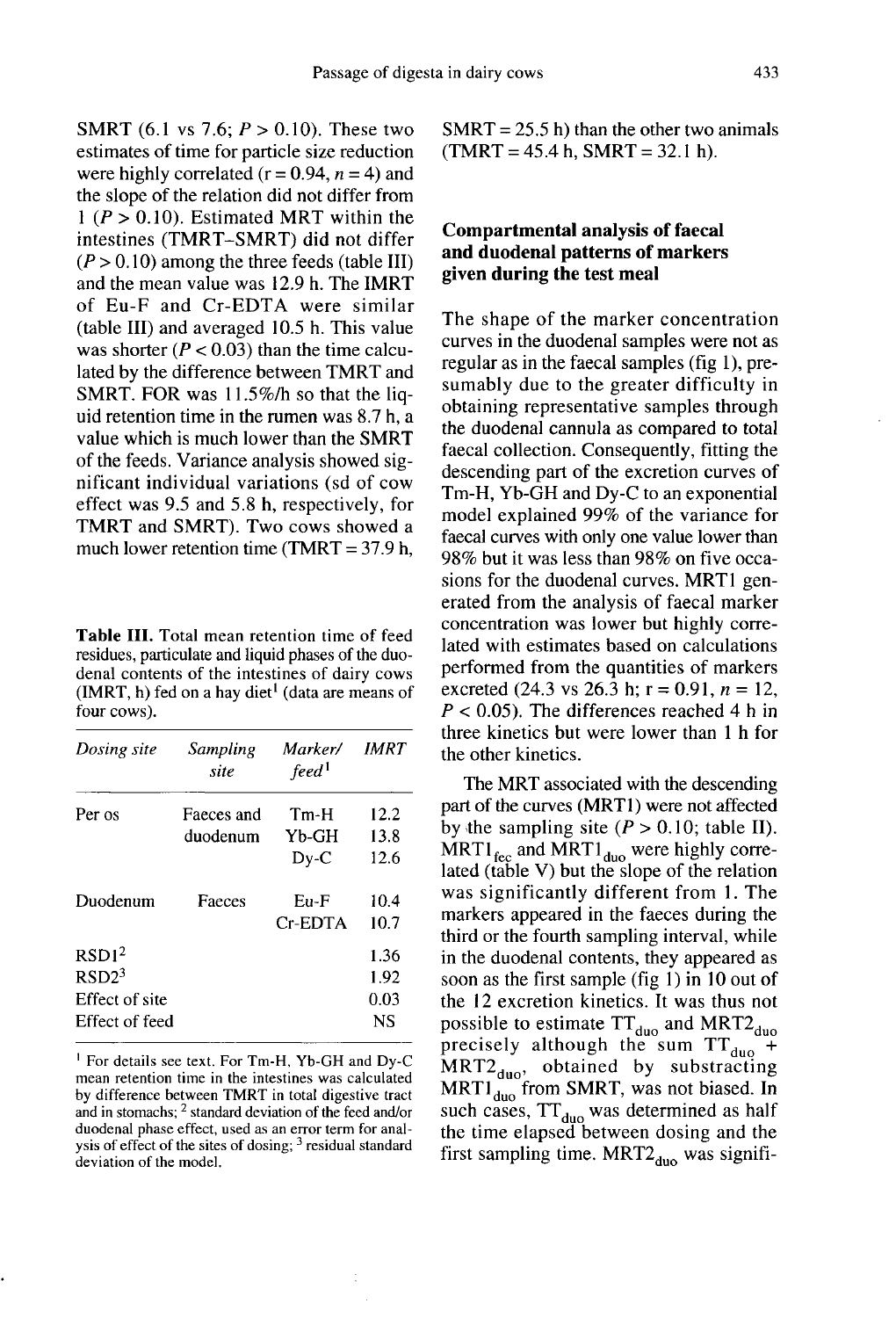**SMRT** (6.1 vs 7.6;  $P > 0.10$ ). These two estimates of time for particle size reduction were highly correlated ( $r = 0.94$ ,  $n = 4$ ) and the slope of the relation did not differ from  $1 (P > 0.10)$ . Estimated MRT within the intestines (TMRT-SMRT) did not differ  $(P > 0.10)$  among the three feeds (table III) and the mean value was 12.9 h. The IMRT of Eu-F and Cr-EDTA were similar (table III) and averaged 10.5 h. This value was shorter ( $P < 0.03$ ) than the time calculated by the difference between TMRT and SMRT. FOR was 11.5%/h so that the liquid retention time in the rumen was 8.7 h, a value which is much lower than the SMRT of the feeds. Variance analysis showed significant individual variations (sd of cow effect was 9.5 and 5.8 h, respectively, for

Table III. Total mean retention time of feed residues, particulate and liquid phases of the duodenal contents of the intestines of dairy cows (IMRT, h) fed on a hay diet<sup>1</sup> (data are means of four cows).

TMRT and SMRT). Two cows showed a much lower retention time (TMRT =  $37.9$  h,

| Dosing site       | Sampling<br>site | Marker/<br>feed <sup>1</sup> | IMRT |  |
|-------------------|------------------|------------------------------|------|--|
| Per os            | Faeces and       | Tm-H                         | 12.2 |  |
|                   | duodenum         | Yb-GH                        | 13.8 |  |
|                   |                  | $Dy-C$                       | 12.6 |  |
| Duodenum          | Faeces           | $Eu-F$                       | 10.4 |  |
|                   |                  | $Cr$ -EDTA                   | 10.7 |  |
| RSD1 <sup>2</sup> |                  |                              | 1.36 |  |
| RSD2 <sup>3</sup> |                  |                              | 1.92 |  |
| Effect of site    |                  |                              | 0.03 |  |
| Effect of feed    |                  |                              | NS   |  |

<sup>1</sup> For details see text. For Tm-H, Yb-GH and Dy-C mean retention time in the intestines was calculated by difference between TMRT in total digestive tract and in stomachs; <sup>2</sup> standard deviation of the feed and/or duodenal phase effect, used as an error term for analysis of effect of the sites of dosing; <sup>3</sup> residual standard deviation of the model.

 $SMRT = 25.5$  h) than the other two animals  $(TMRT = 45.4 h, SMRT = 32.1 h).$ 

## Compartmental analysis of faecal and duodenal patterns of markers given during the test meal

The shape of the marker concentration curves in the duodenal samples were not as regular as in the faecal samples (fig 1), presumably due to the greater difficulty in obtaining representative samples through the duodenal cannula as compared to total faecal collection. Consequently, fitting the descending part of the excretion curves of Tm-H, Yb-GH and Dy-C to an exponential model explained 99% of the variance for faecal curves with only one value lower than 98% but it was less than 98% on five occasions for the duodenal curves. MRT1 generated from the analysis of faecal marker concentration was lower but highly correlated with estimates based on calculations performed from the quantities of markers excreted (24.3 vs 26.3 h;  $r = 0.91$ ,  $n = 12$ ,  $P < 0.05$ ). The differences reached 4 h in three kinetics but were lower than 1 h for the other kinetics.

The MRT associated with the descending part of the curves (MRT1) were not affected by the sampling site  $(P > 0.10$ ; table II).  $MRT1_{\text{fcc}}$  and  $MRT1_{\text{duo}}$  were highly correlated (table V) but the slope of the relation was significantly different from 1. The markers appeared in the faeces during the third or the fourth sampling interval, while in the duodenal contents, they appeared as soon as the first sample (fig  $1$ ) in  $10$  out of the 12 excretion kinetics. It was thus not possible to estimate  $TT_{\text{duo}}$  and  $MRT2_{\text{duo}}$ precisely although the sum  $TT_{duo}$ <sup>+</sup>  $MRT2_{\text{duo}}$ , obtained by substracting<br>MRT1<sub>duo</sub> from SMRT, was not biased. In such cases,  $TT_{\text{duo}}$  was determined as half the time elapsed between dosing and the first sampling time.  $MRT2_{duo}$  was signifi-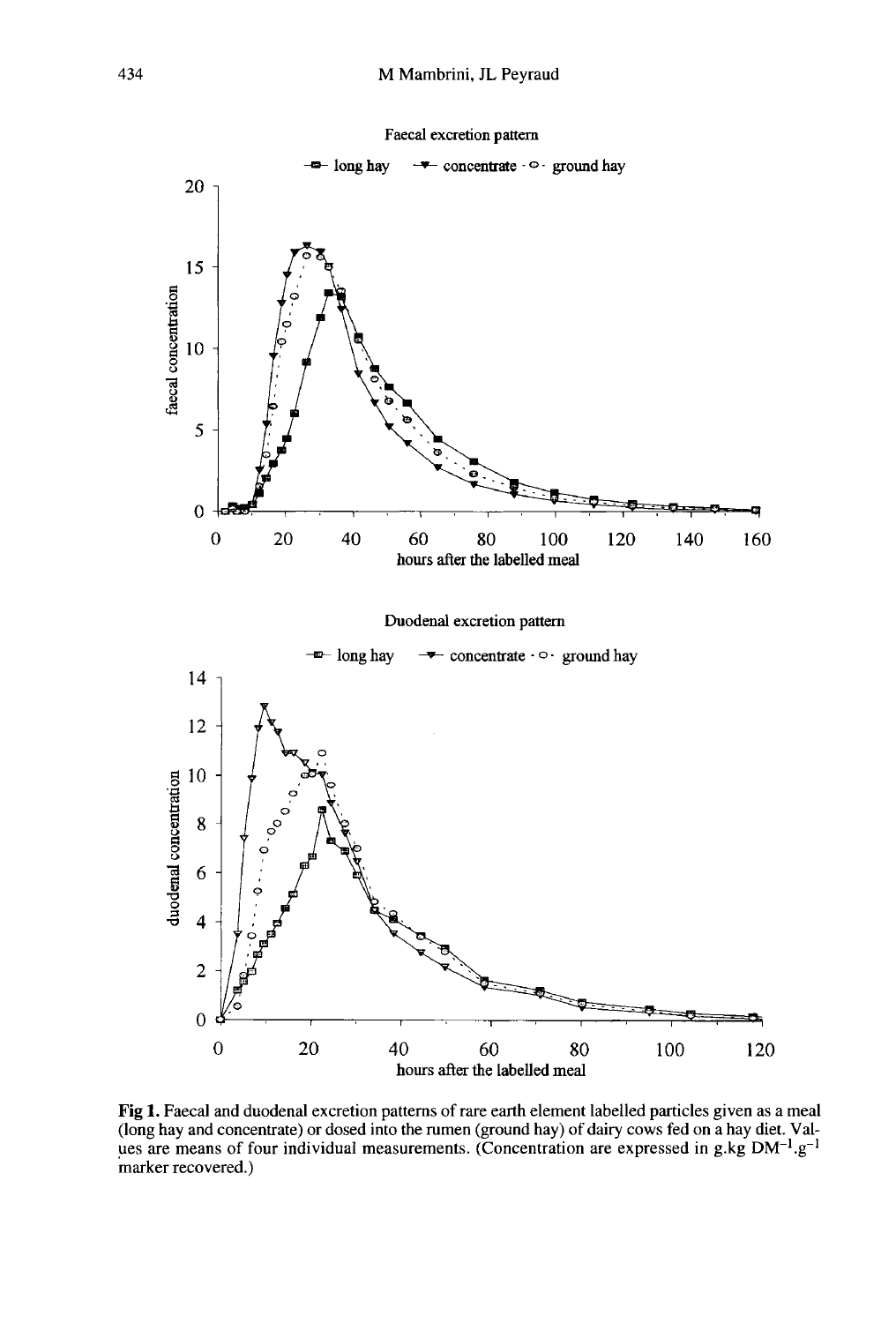

Fig 1. Faecal and duodenal excretion patterns of rare earth element labelled particles given as a meal (long hay and concentrate) or dosed into the rumen (ground hay) of dairy cows fed on a hay diet. Values are means of four individual measurements. (Concentration are expressed in g.kg DM<sup>-1</sup>.g<sup>-1</sup> marker recovered.)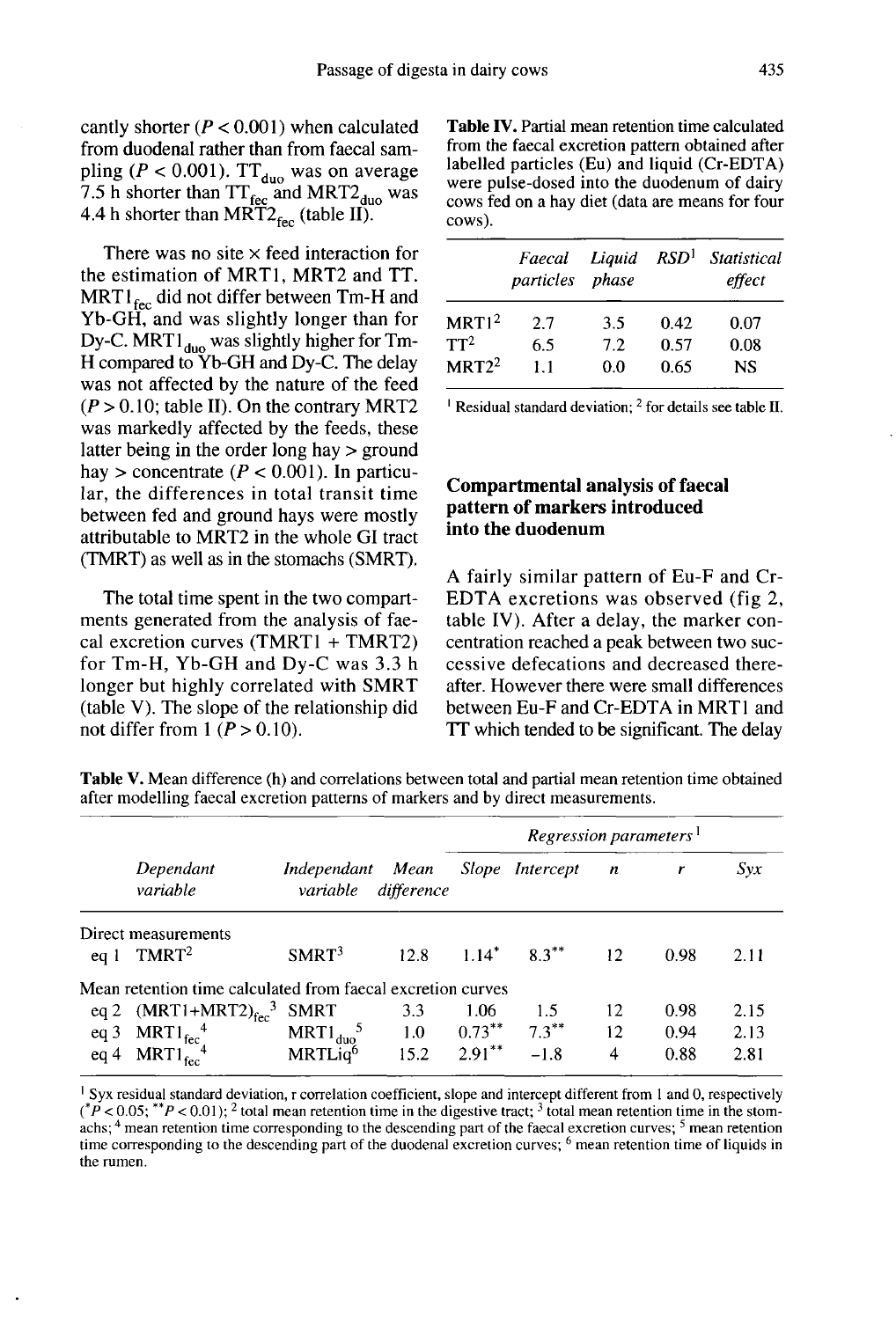cantly shorter ( $P < 0.001$ ) when calculated from duodenal rather than from faecal sampling ( $P < 0.001$ ). TT<sub>duo</sub> was on average  $7.5$  h shorter than  $TT_{\text{flow}}$  and MRT2 duo was<br> $4.4$  h shorter than  $MT_{\text{flow}}$  (toble II) 4.4 h shorter than  $MRT2_{\text{fcc}}$  (table II).

There was no site  $\times$  feed interaction for the estimation of MRT1, MRT2 and TT.  $MRT1_{\text{fcc}}$  did not differ between Tm-H and Yb-GH, and was slightly longer than for Dy-C. MRT1<sub>duo</sub> was slightly higher for Tm-H compared to Yb-GH and Dy-C. The delay was not affected by the nature of the feed  $(P > 0.10$ ; table II). On the contrary MRT2 was markedly affected by the feeds, these latter being in the order long hay > ground hay > concentrate ( $P < 0.001$ ). In particular, the differences in total transit time between fed and ground hays were mostly attributable to MRT2 in the whole GI tract (TMRT) as well as in the stomachs (SMRT).

The total time spent in the two compart ments generated from the analysis of faecal excretion curves (TMRTI + TMRT2) for Tm-H, Yb-GH and Dy-C was 3.3 h longer but highly correlated with SMRT (table V). The slope of the relationship did not differ from  $1 (P > 0.10)$ .

Table IV. Partial mean retention time calculated from the faecal excretion pattern obtained after labelled particles (Eu) and liquid (Cr-EDTA) were pulse-dosed into the duodenum of dairy cows fed on a hay diet (data are means for four cows).

|                   | particles phase |     |      | Faecal Liquid RSD <sup>1</sup> Statistical<br>effect |  |  |
|-------------------|-----------------|-----|------|------------------------------------------------------|--|--|
| MRT1 <sup>2</sup> | 27              | 3.5 | 0.42 | 0.07                                                 |  |  |
| $TT^2$            | 6.5             | 7.2 | 0.57 | 0.08                                                 |  |  |
| $MRT2^2$          | 11              | 0.0 | 0.65 | <b>NS</b>                                            |  |  |
|                   |                 |     |      |                                                      |  |  |

<sup>1</sup> Residual standard deviation;  $^2$  for details see table II.

## Compartmental analysis of faecal pattern of markers introduced into the duodenum

A fairly similar pattern of Eu-F and Cr-EDTA excretions was observed (fig 2, table IV). After a delay, the marker concentration reached a peak between two successive defecations and decreased thereafter. However there were small differences between Eu-F and Cr-EDTA in MRT1 and TT which tended to be significant. The delay

Table V. Mean difference (h) and correlations between total and partial mean retention time obtained after modelling faecal excretion patterns of markers and by direct measurements.

|                 |                                                             |                               |                    | Regression parameters <sup>1</sup> |                     |     |      |      |
|-----------------|-------------------------------------------------------------|-------------------------------|--------------------|------------------------------------|---------------------|-----|------|------|
|                 | Dependant<br>variable                                       | Independant<br>variable       | Mean<br>difference |                                    | Slope Intercept     | n   |      | Svx  |
| eq1             | Direct measurements<br>TMRT <sup>2</sup>                    | SMRT <sup>3</sup>             | 12.8               |                                    | $1.14^*$ $8.3^{**}$ | 12. | 0.98 | 2.11 |
|                 | Mean retention time calculated from faecal excretion curves |                               |                    |                                    |                     |     |      |      |
| eq2             | $(MRT1+MRT2)_{\text{fcc}}^3$                                | <b>SMRT</b>                   | 3.3                | 1.06                               | 1.5                 | 12  | 0.98 | 2.15 |
| eq <sub>3</sub> | $MRT1_{\text{fcc}}^4$                                       | $MRT1_{\text{duo}}^{\quad 5}$ | 1.0                | $0.73***$                          | $7.3***$            | 12  | 0.94 | 2.13 |
| eq4             | $MRT1_{\text{fcc}}^{1.4}$                                   | MRTLig <sup>6</sup>           | 15.2               | $2.91***$                          | $-1.8$              | 4   | 0.88 | 2.81 |

<sup>&</sup>lt;sup>1</sup> Syx residual standard deviation, r correlation coefficient, slope and intercept different from 1 and 0, respectively (\*P < 0.05; \*\*P < 0.01); <sup>2</sup> total mean retention time in the digestive tract; <sup>3</sup> total mean retention time in the stomachs; 4 mean retention time corresponding to the descending part of the faecal excretion curves; <sup>5</sup> mean retention time corresponding to the descending part of the duodenal excretion curves; <sup>6</sup> mean retention time of liquids in the rumen.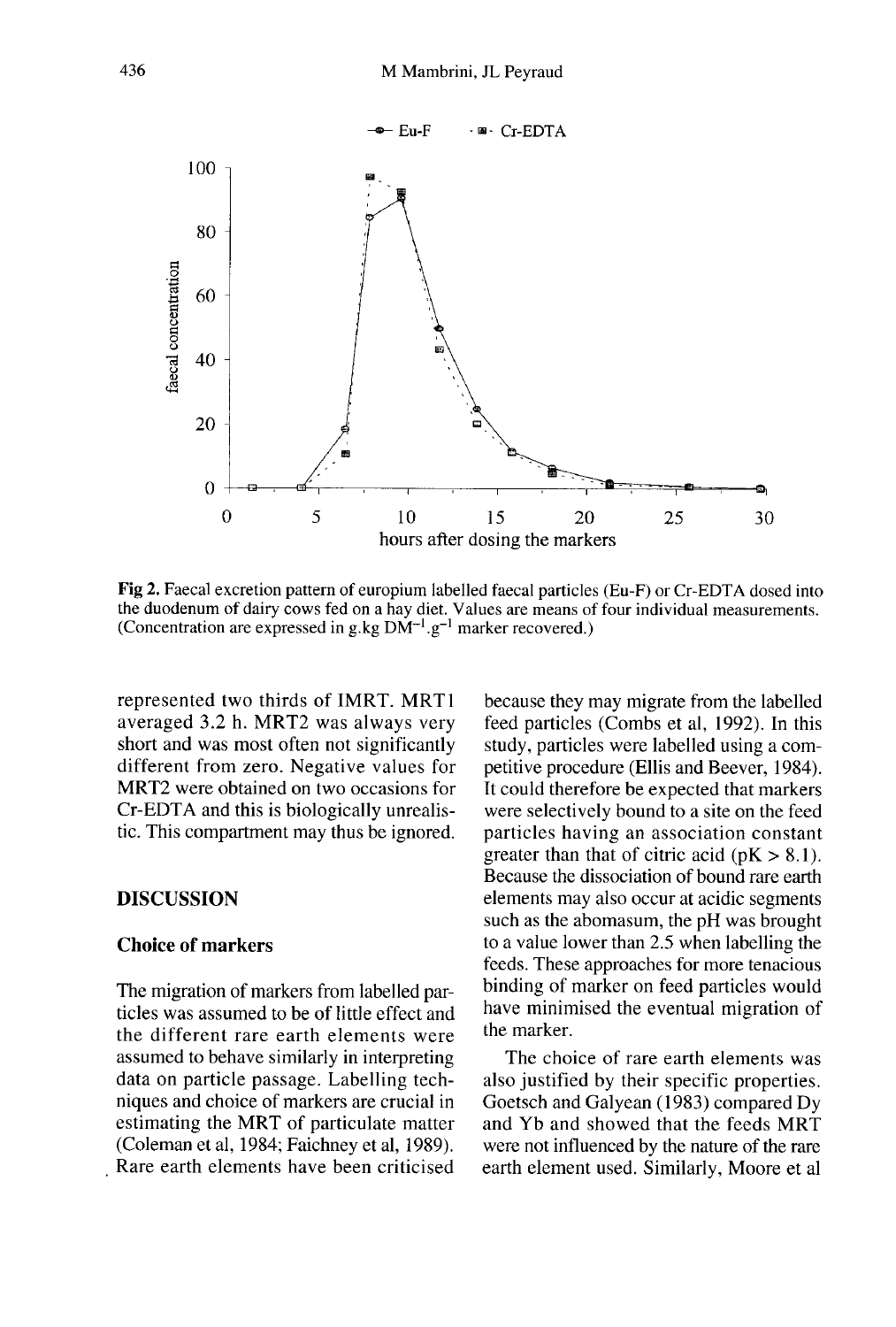

Fig 2. Faecal excretion pattern of europium labelled faecal particles (Eu-F) or Cr-EDTA dosed into the duodenum of dairy cows fed on a hay diet. Values are means of four individual measurements. (Concentration are expressed in g.kg  $DM^{-1}$ .g<sup>-1</sup> marker recovered.)

represented two thirds of IMRT. MRT1 averaged 3.2 h. MRT2 was always very short and was most often not significantly different from zero. Negative values for MRT2 were obtained on two occasions for Cr-EDTA and this is biologically unrealistic. This compartment may thus be ignored.

#### DISCUSSION

## Choice of markers

The migration of markers from labelled particles was assumed to be of little effect and the different rare earth elements were assumed to behave similarly in interpreting data on particle passage. Labelling techniques and choice of markers are crucial in estimating the MRT of particulate matter (Coleman et al, 1984; Faichney et al, 1989). Rare earth elements have been criticised

because they may migrate from the labelled feed particles (Combs et al, 1992). In this study, particles were labelled using a competitive procedure (Ellis and Beever, 1984). It could therefore be expected that markers were selectively bound to a site on the feed particles having an association constant greater than that of citric acid ( $pK > 8.1$ ). Because the dissociation of bound rare earth elements may also occur at acidic segments such as the abomasum, the pH was brought to a value lower than 2.5 when labelling the feeds. These approaches for more tenacious binding of marker on feed particles would have minimised the eventual migration of the marker.

The choice of rare earth elements was also justified by their specific properties. Goetsch and Galyean (1983) compared Dy and Yb and showed that the feeds MRT were not influenced by the nature of the rare earth element used. Similarly, Moore et al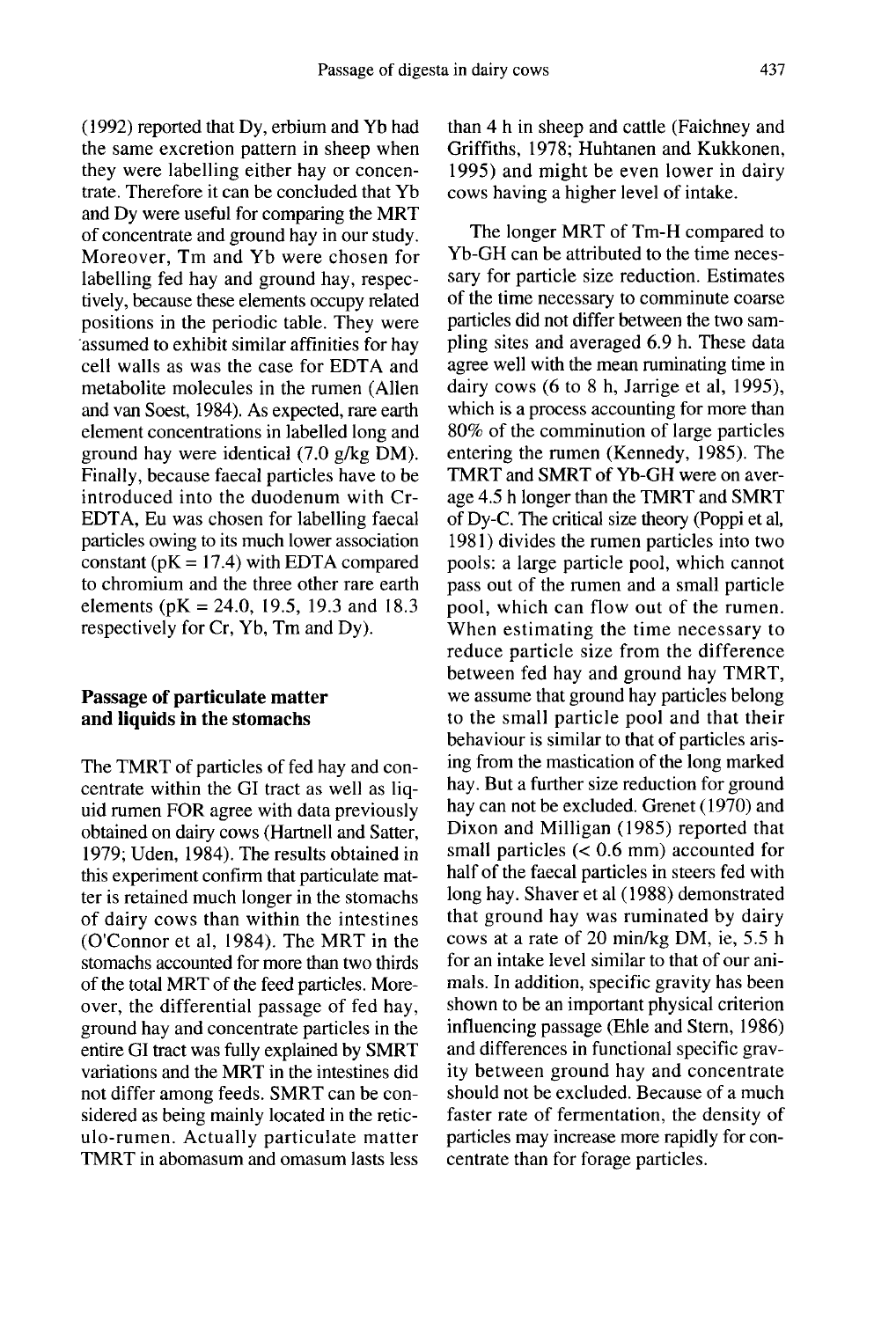(1992) reported that Dy, erbium and Yb had the same excretion pattern in sheep when they were labelling either hay or concentrate. Therefore it can be concluded that Yb and Dy were useful for comparing the MRT of concentrate and ground hay in our study. Moreover, Tm and Yb were chosen for labelling fed hay and ground hay, respectively, because these elements occupy related positions in the periodic table. They were assumed to exhibit similar affinities for hay cell walls as was the case for EDTA and metabolite molecules in the rumen (Allen and van Soest, 1984). As expected, rare earth element concentrations in labelled long and ground hay were identical (7.0 g/kg DM). Finally, because faecal particles have to be introduced into the duodenum with Cr-EDTA, Eu was chosen for labelling faecal particles owing to its much lower association constant ( $pK = 17.4$ ) with EDTA compared to chromium and the three other rare earth elements ( $pK = 24.0$ , 19.5, 19.3 and 18.3 respectively for Cr, Yb, Tm and Dy).

## Passage of particulate matter and liquids in the stomachs

The TMRT of particles of fed hay and concentrate within the GI tract as well as liquid rumen FOR agree with data previously obtained on dairy cows (Hartnell and Satter, 1979; Uden, 1984). The results obtained in this experiment confirm that particulate matter is retained much longer in the stomachs of dairy cows than within the intestines (O'Connor et al, 1984). The MRT in the stomachs accounted for more than two thirds of the total MRT of the feed particles. Moreover, the differential passage of fed hay, ground hay and concentrate particles in the entire GI tract was fully explained by SMRT variations and the MRT in the intestines did not differ among feeds. SMRT can be considered as being mainly located in the reticulo-rumen. Actually particulate matter TMRT in abomasum and omasum lasts less

than 4 h in sheep and cattle (Faichney and Griffiths, 1978; Huhtanen and Kukkonen, 1995) and might be even lower in dairy cows having a higher level of intake.

The longer MRT of Tm-H compared to Yb-GH can be attributed to the time necessary for particle size reduction. Estimates of the time necessary to comminute coarse particles did not differ between the two sampling sites and averaged 6.9 h. These data agree well with the mean ruminating time in dairy cows (6 to 8 h, Jarrige et al, 1995), which is a process accounting for more than 80% of the comminution of large particles entering the rumen (Kennedy, 1985). The TMRT and SMRT of Yb-GH were on average 4.5 h longer than the TMRT and SMRT of Dy-C. The critical size theory (Poppi et al, 1981) divides the rumen particles into two pools: a large particle pool, which cannot pass out of the rumen and a small particle pool, which can flow out of the rumen. When estimating the time necessary to reduce particle size from the difference between fed hay and ground hay TMRT, we assume that ground hay particles belong to the small particle pool and that their behaviour is similar to that of particles arising from the mastication of the long marked hay. But a further size reduction for ground hay can not be excluded. Grenet (1970) and Dixon and Milligan (1985) reported that small particles (< 0.6 mm) accounted for half of the faecal particles in steers fed with long hay. Shaver et al (1988) demonstrated that ground hay was ruminated by dairy cows at a rate of 20 min/kg DM, ie, 5.5 h for an intake level similar to that of our animals. In addition, specific gravity has been shown to be an important physical criterion influencing passage (Ehle and Stem, 1986) and differences in functional specific gravity between ground hay and concentrate should not be excluded. Because of a much faster rate of fermentation, the density of particles may increase more rapidly for concentrate than for forage particles.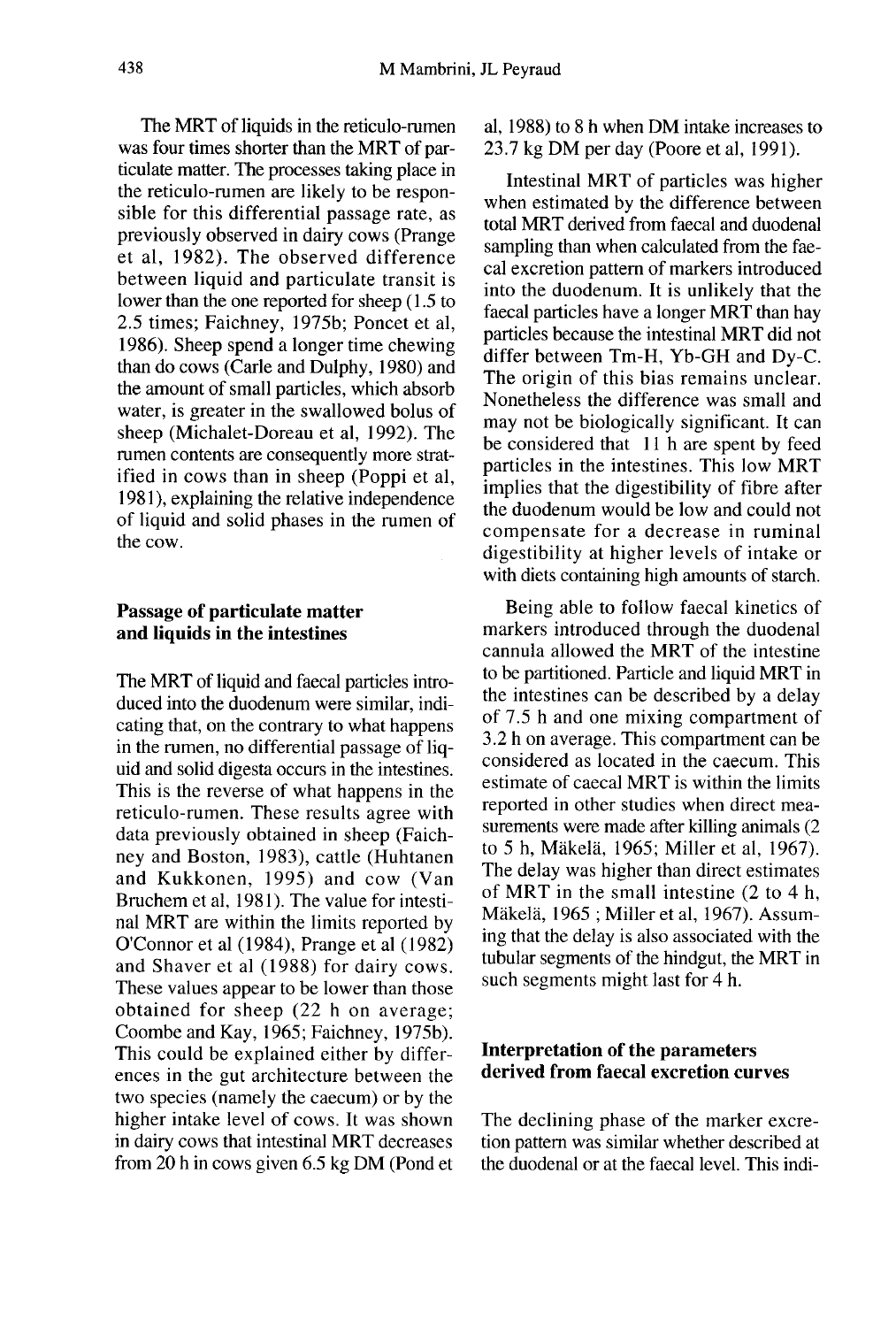The MRT of liquids in the reticulo-rumen was four times shorter than the MRT of particulate matter. The processes taking place in the reticulo-rumen are likely to be responsible for this differential passage rate, as previously observed in dairy cows (Prange et al, 1982). The observed difference between liquid and particulate transit is lower than the one reported for sheep (1.5 to 2.5 times; Faichney, 1975b; Poncet et al, 1986). Sheep spend a longer time chewing than do cows (Carle and Dulphy, 1980) and the amount of small particles, which absorb water, is greater in the swallowed bolus of sheep (Michalet-Doreau et al, 1992). The rumen contents are consequently more stratified in cows than in sheep (Poppi et al, 1981 ), explaining the relative independence of liquid and solid phases in the rumen of the cow.

## Passage of particulate matter and liquids in the intestines

The MRT of liquid and faecal particles introduced into the duodenum were similar, indicating that, on the contrary to what happens in the rumen, no differential passage of liquid and solid digesta occurs in the intestines. This is the reverse of what happens in the reticulo-rumen. These results agree with data previously obtained in sheep (Faichney and Boston, 1983), cattle (Huhtanen and Kukkonen, 1995) and cow (Van Bruchem et al, 1981). The value for intestinal MRT are within the limits reported by O'Connor et al (1984), Prange et al (1982) and Shaver et al (1988) for dairy cows. These values appear to be lower than those obtained for sheep (22 h on average; Coombe and Kay, 1965; Faichney, 1975b). This could be explained either by differences in the gut architecture between the two species (namely the caecum) or by the higher intake level of cows. It was shown in dairy cows that intestinal MRT decreases from 20 h in cows given 6.5 kg DM (Pond et al, 1988) to 8 h when DM intake increases to 23.7 kg DM per day (Poore et al, 1991).

Intestinal MRT of particles was higher when estimated by the difference between total MRT derived from faecal and duodenal sampling than when calculated from the faecal excretion pattern of markers introduced into the duodenum. It is unlikely that the faecal particles have a longer MRT than hay particles because the intestinal MRT did not differ between Tm-H, Yb-GH and Dy-C. The origin of this bias remains unclear. Nonetheless the difference was small and may not be biologically significant. It can be considered that 11 h are spent by feed particles in the intestines. This low MRT implies that the digestibility of fibre after the duodenum would be low and could not compensate for a decrease in ruminal digestibility at higher levels of intake or with diets containing high amounts of starch.

Being able to follow faecal kinetics of markers introduced through the duodenal cannula allowed the MRT of the intestine to be partitioned. Particle and liquid MRT in the intestines can be described by a delay of 7.5 h and one mixing compartment of 3.2 h on average. This compartment can be considered as located in the caecum. This estimate of caecal MRT is within the limits reported in other studies when direct measurements were made after killing animals (2 to 5 h, Makela, 1965; Miller et al, 1967). The delay was higher than direct estimates of MRT in the small intestine (2 to 4 h, Mäkelä, 1965; Miller et al, 1967). Assuming that the delay is also associated with the tubular segments of the hindgut, the MRT in such segments might last for 4 h.

## Interpretation of the parameters derived from faecal excretion curves

The declining phase of the marker excretion pattern was similar whether described at the duodenal or at the faecal level. This indi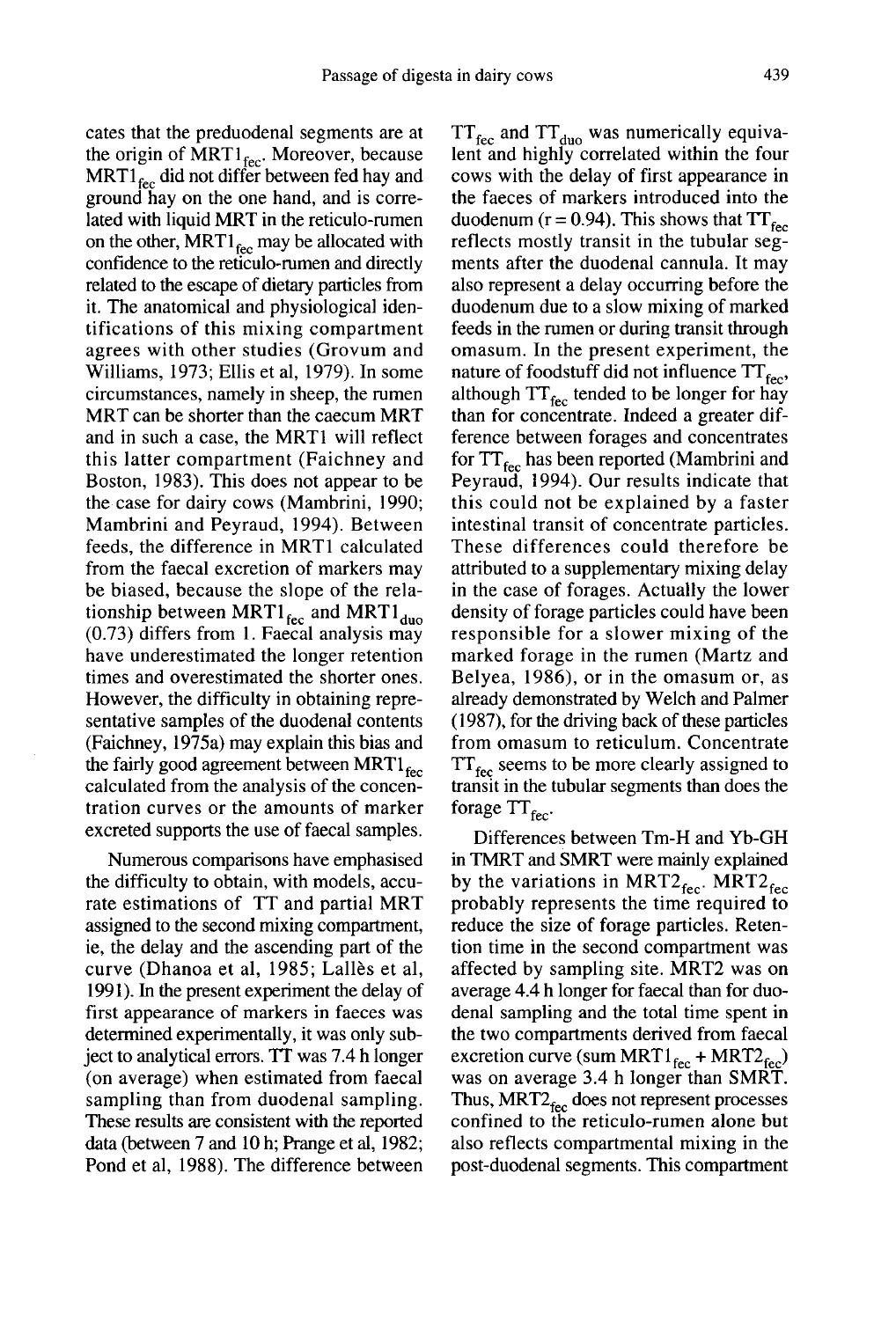cates that the preduodenal segments are at the origin of MRT1 $_{\text{fec}}$ . Moreover, because  $MRT1_{\text{fec}}$  did not differ between fed hay and ground hay on the one hand, and is correlated with liquid MRT in the reticulo-rumen on the other,  $MRT1_{\text{fcc}}$  may be allocated with confidence to the reticulo-rumen and directly related to the escape of dietary particles from it. The anatomical and physiological identifications of this mixing compartment agrees with other studies (Grovum and Williams, 1973; Ellis et al, 1979). In some circumstances, namely in sheep, the rumen MRT can be shorter than the caecum MRT and in such a case, the MRT1 will reflect this latter compartment (Faichney and Boston, 1983). This does not appear to be the case for dairy cows (Mambrini, 1990; Mambrini and Peyraud, 1994). Between feeds, the difference in MRTI calculated from the faecal excretion of markers may be biased, because the slope of the relationship between MRT1 $_{\text{fcc}}$  and MRT1 $_{\text{duo}}$ (0.73) differs from 1. Faecal analysis may have underestimated the longer retention times and overestimated the shorter ones. However, the difficulty in obtaining representative samples of the duodenal contents (Faichney, 1975a) may explain this bias and the fairly good agreement between MRT $_1$ <sub>fec</sub> calculated from the analysis of the concentration curves or the amounts of marker excreted supports the use of faecal samples.

Numerous comparisons have emphasised the difficulty to obtain, with models, accurate estimations of TT and partial MRT assigned to the second mixing compartment, ie, the delay and the ascending part of the curve (Dhanoa et al, 1985; Lalles et al, 1991). In the present experiment the delay of first appearance of markers in faeces was determined experimentally, it was only subject to analytical errors. TT was 7.4 h longer (on average) when estimated from faecal sampling than from duodenal sampling. These results are consistent with the reported data (between 7 and 10 h; Prange et al, 1982; Pond et al, 1988). The difference between

 $TT_{\text{fcc}}$  and  $TT_{\text{duo}}$  was numerically equivalent and highly correlated within the four cows with the delay of first appearance in the faeces of markers introduced into the duodenum ( $r = 0.94$ ). This shows that  $TT_{\text{fec}}$ reflects mostly transit in the tubular segments after the duodenal cannula. It may also represent a delay occurring before the duodenum due to a slow mixing of marked feeds in the rumen or during transit through omasum. In the present experiment, the nature of foodstuff did not influence  $TT_{\text{fec}}$ . although  $TT_{\text{fcc}}$  tended to be longer for hay than for concentrate. Indeed a greater difference between forages and concentrates for  $TT_{\text{fec}}$  has been reported (Mambrini and Peyraud, 1994). Our results indicate that this could not be explained by a faster intestinal transit of concentrate particles. These differences could therefore be attributed to a supplementary mixing delay in the case of forages. Actually the lower density of forage particles could have been responsible for a slower mixing of the marked forage in the rumen (Martz and Belyea, 1986), or in the omasum or, as already demonstrated by Welch and Palmer (1987), for the driving back of these particles from omasum to reticulum. Concentrate  $TT_{\text{fcc}}$  seems to be more clearly assigned to transit in the tubular segments than does the forage  $TT_{\text{fec}}$ 

Differences between Tm-H and Yb-GH in TMRT and SMRT were mainly explained by the variations in MRT2 $_{\text{fcc}}$ . MRT2 $_{\text{fcc}}$ probably represents the time required to reduce the size of forage particles. Retention time in the second compartment was affected by sampling site. MRT2 was on average 4.4 h longer for faecal than for duodenal sampling and the total time spent in the two compartments derived from faecal excretion curve (sum MRT1<sub>fec</sub> was on average 3.4 h longer than SMRT.  $\tan 6r$  duo-<br>than for duo-<br>me spent in<br>from faecal<br>+ MRT2 $_{\text{fcc}}$ )<br>han SMRT. the two compartments derived from faecal<br>excretion curve (sum MRT1<sub>fec</sub> + MRT2<sub>fec</sub>)<br>was on average 3.4 h longer than SMRT.<br>Thus, MRT2<sub>fec</sub> does not represent processes<br>confined to the reticulo-rumen alone but confined to the reticulo-rumen alone but also reflects compartmental mixing in the post-duodenal segments. This compartment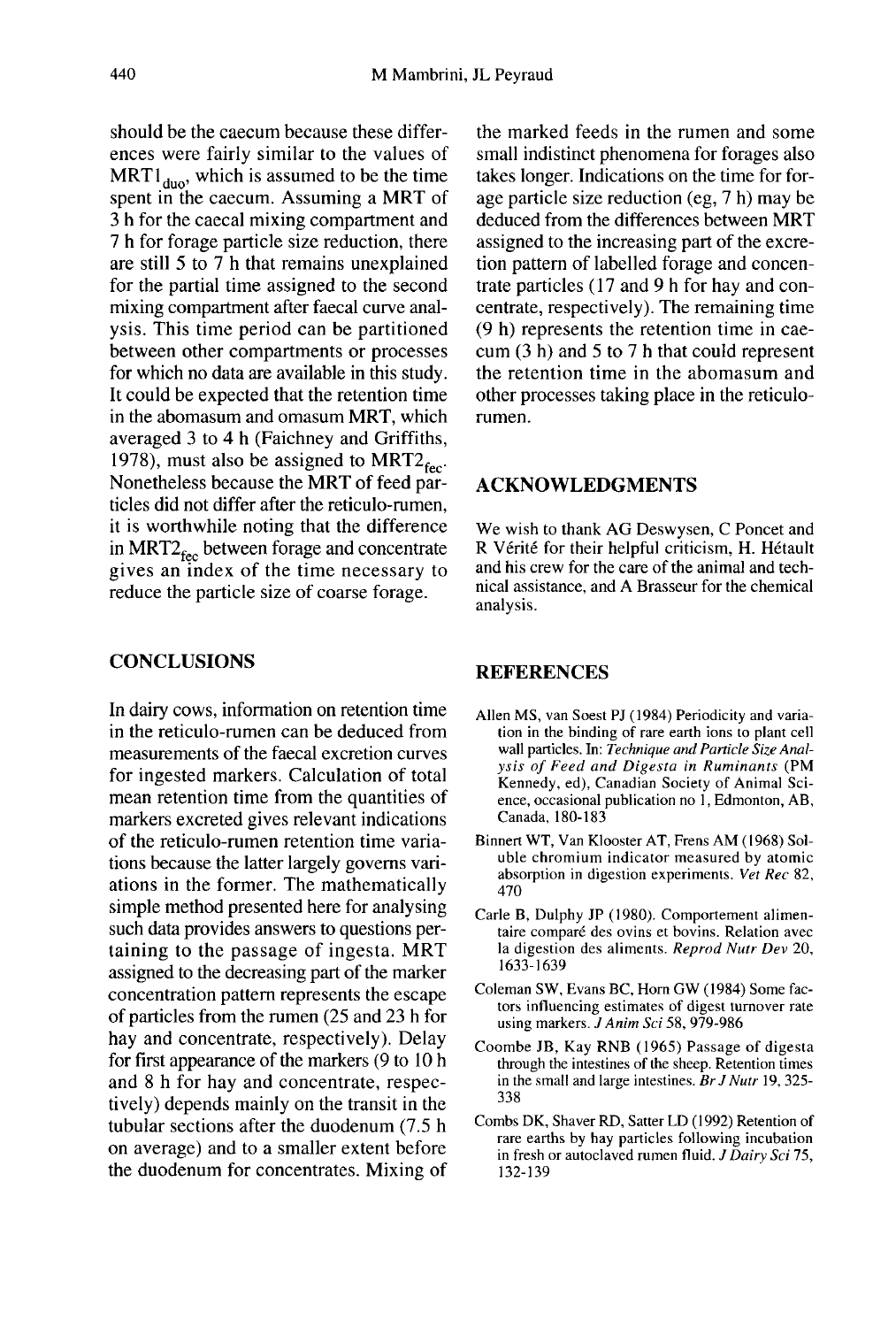should be the caecum because these differences were fairly similar to the values of  $MRT1_{\text{duo}}$ , which is assumed to be the time spent in the caecum. Assuming a MRT of 3 h for the caecal mixing compartment and 7 h for forage particle size reduction, there are still 5 to 7 h that remains unexplained for the partial time assigned to the second mixing compartment after faecal curve analysis. This time period can be partitioned between other compartments or processes for which no data are available in this study. It could be expected that the retention time in the abomasum and omasum MRT, which averaged 3 to 4 h (Faichney and Griffiths, 1978), must also be assigned to  $MRT2_{\text{fec}}$ . Nonetheless because the MRT of feed particles did not differ after the reticulo-rumen, it is worthwhile noting that the difference in MRT2 $_{\text{fcc}}$  between forage and concentrate gives an index of the time necessary to reduce the particle size of coarse forage.

## **CONCLUSIONS**

In dairy cows, information on retention time in the reticulo-rumen can be deduced from measurements of the faecal excretion curves for ingested markers. Calculation of total mean retention time from the quantities of markers excreted gives relevant indications of the reticulo-rumen retention time variations because the latter largely governs variations in the former. The mathematically simple method presented here for analysing such data provides answers to questions pertaining to the passage of ingesta. MRT assigned to the decreasing part of the marker concentration pattern represents the escape of particles from the rumen (25 and 23 h for hay and concentrate, respectively). Delay for first appearance of the markers (9 to 10 h and 8 h for hay and concentrate, respectively) depends mainly on the transit in the tubular sections after the duodenum (7.5 h on average) and to a smaller extent before the duodenum for concentrates. Mixing of

the marked feeds in the rumen and some small indistinct phenomena for forages also takes longer. Indications on the time for forage particle size reduction (eg, 7 h) may be deduced from the differences between MRT assigned to the increasing part of the excretion pattern of labelled forage and concentrate particles ( 17 and 9 h for hay and concentrate, respectively). The remaining time (9 h) represents the retention time in caecum (3 h) and 5 to 7 h that could represent the retention time in the abomasum and other processes taking place in the reticulorumen.

## ACKNOWLEDGMENTS

We wish to thank AG Deswysen, C Poncet and R Vérité for their helpful criticism, H. Hétault and his crew for the care of the animal and technical assistance, and A Brasseur for the chemical analysis.

## **REFERENCES**

- Allen MS, van Soest PJ ( 1984) Periodicity and variation in the binding of rare earth ions to plant cell wall particles. In: Technique and Particle Size Analysis of Feed and Digesta in Ruminants (PM Kennedy, ed), Canadian Society of Animal Science, occasional publication no 1, Edmonton, AB, Canada, 180-183
- Binnert WT, Van Klooster AT, Frens AM ( 1968) Soluble chromium indicator measured by atomic absorption in digestion experiments. Vet Rec 82, 470
- Carle B, Dulphy JP (1980). Comportement alimentaire comparé des ovins et bovins. Relation avec la digestion des aliments. Reprod Nutr Dev 20, 1633-1639
- Coleman SW, Evans BC, Horn GW (1984) Some factors influencing estimates of digest turnover rate using markers. J Anim Sci 58, 979-986
- Coombe JB, Kay RNB (1965) Passage of digesta through the intestines of the sheep. Retention times in the small and large intestines. Br J Nutr 19, 325- 338
- Combs DK, Shaver RD, Satter LD (1992) Retention of rare earths by hay particles following incubation in fresh or autoclaved rumen fluid. J Dairy Sci 75, 132-139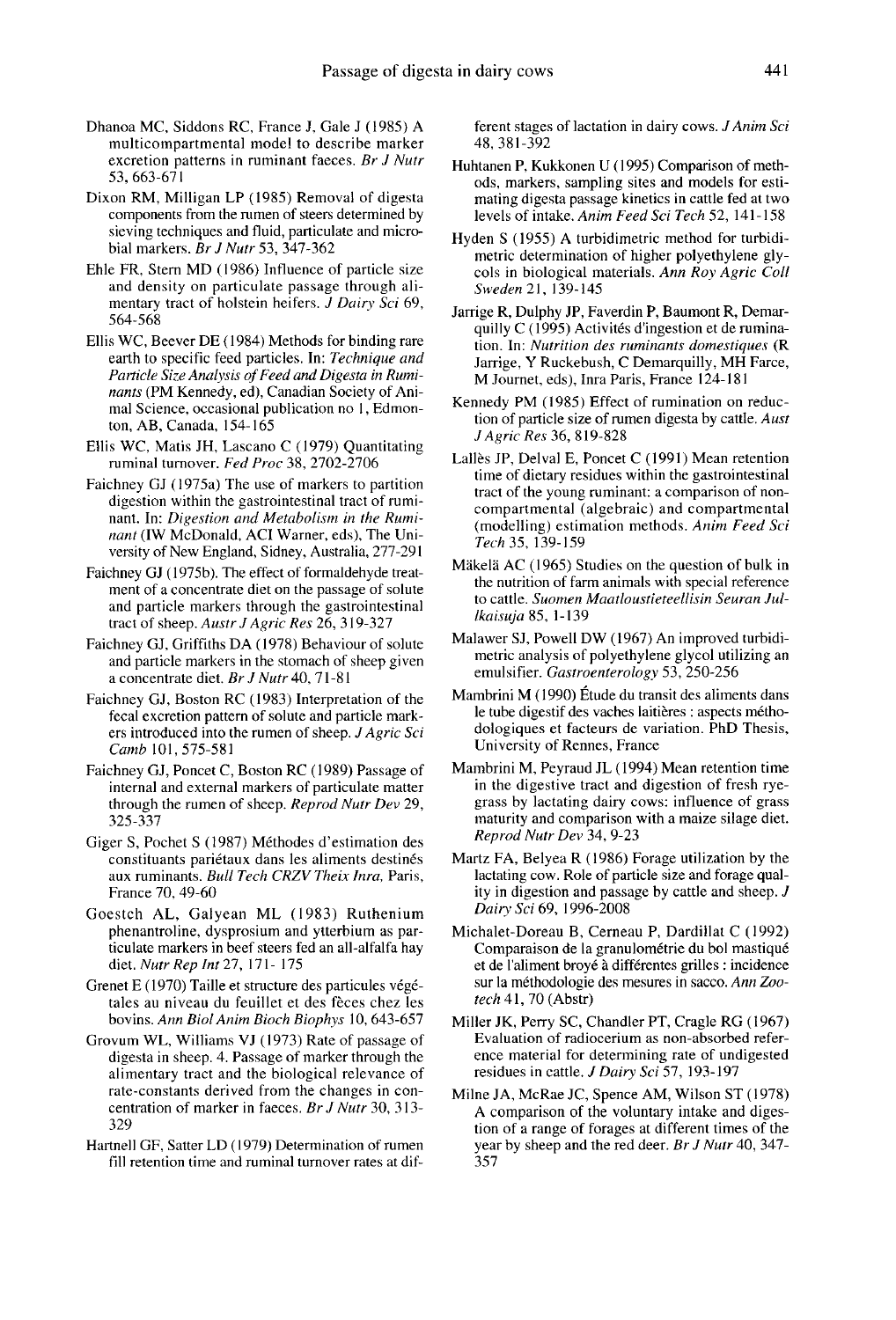- Dhanoa MC, Siddons RC, France J, Gale J (1985) A multicompartmental model to describe marker excretion patterns in ruminant faeces. Br J Nutr 53, 663-671
- Dixon RM, Milligan LP (1985) Removal of digesta components from the rumen of steers determined by sieving techniques and fluid, particulate and microbial markers.  $Br J Nurr$  53, 347-362
- Ehle FR, Stern MD (1986) Influence of particle size and density on particulate passage through alimentary tract of holstein heifers. J Dairy Sci 69, 564-568
- Ellis WC, Beever DE ( 1984) Methods for binding rare earth to specific feed particles. In: Technique and Particle Size Analysis of Feed and Digesta in Ruminants (PM Kennedy, ed), Canadian Society of Animal Science, occasional publication no I, Edmonton, AB, Canada, 154-165
- Ellis WC, Matis JH, Lascano C (1979) Quantitating ruminal turnover. Fed Proc 38, 2702-2706
- Faichney GJ ( 1975a) The use of markers to partition digestion within the gastrointestinal tract of ruminant. In: Digestion and Metabolism in the Ruminant (IW McDonald, ACI Warner, eds), The University of New England, Sidney, Australia, 277-291
- Faichney GJ (1975b). The effect of formaldehyde treatment of a concentrate diet on the passage of solute and particle markers through the gastrointestinal tract of sheep. Austr J Agric Res 26, 319-327
- Faichney GJ, Griffiths DA ( 1978) Behaviour of solute and particle markers in the stomach of sheep given a concentrate diet. Br J Nutr 40, 71-81
- Faichney GJ, Boston RC (1983) Interpretation of the fecal excretion pattern of solute and particle markers introduced into the rumen of sheep. J Agric Sci Camb 101, 575-581
- Faichney GJ, Poncet C, Boston RC ( 1989) Passage of internal and external markers of particulate matter through the rumen of sheep. Reprod Nutr Dev 29, 325-337
- Giger S, Pochet S (1987) Méthodes d'estimation des constituants pariétaux dans les aliments destinés aux ruminants. Bull Tech CRZV Theix Inra, Paris, France 70, 49-60
- Goestch AL, Galyean ML (1983) Ruthenium phenantroline, dysprosium and ytterbium as particulate markers in beef steers fed an all-alfalfa hay diet. Nutr Rep Int 27, 171- 175
- Grenet E (1970) Taille et structure des particules végétales au niveau du feuillet et des feces chez les bovins. Ann Biol Anim Bioch Biophys 10, 643-657
- Grovum WL, Williams VJ (1973) Rate of passage of digesta in sheep. 4. Passage of marker through the alimentary tract and the biological relevance of rate-constants derived from the changes in concentration of marker in faeces. Br J Nutr 30, 313- 329
- Hartnell GF, Satter LD ( 1979) Determination of rumen fill retention time and ruminal turnover rates at dif-

ferent stages of lactation in dairy cows. J Anim Sci 48, 381-392

- Huhtanen P, Kukkonen U ( 1995) Comparison of methods, markers, sampling sites and models for estimating digesta passage kinetics in cattle fed at two levels of intake. Anim Feed Sci Tech 52, 141-158
- Hyden S (1955) A turbidimetric method for turbidicols in biological materials. Ann Roy Agric Coll Sweden 21, 139-145
- Jarrige R, Dulphy JP, Faverdin P, Baumont R, Demarquilly C (1995) Activites d'ingestion et de rumination. In: Nutrition des ruminants domestiques (R Jarrige, Y Ruckebush, C Demarquilly, MH Farce, M Journet, eds), Inra Paris, France 124-181 1
- Kennedy PM (1985) Effect of rumination on reduction of particle size of rumen digesta by cattle. Aust J Agric Res 36, 819-828
- Lallès JP, Delval E, Poncet C (1991) Mean retention time of dietary residues within the gastrointestinal tract of the young ruminant: a comparison of noncompartmental (algebraic) and compartmental (modelling) estimation methods. Anim Feed Sci Tech 35, 139-159
- Mäkelä AC (1965) Studies on the question of bulk in the nutrition of farm animals with special reference to cattle. Suomen Maatloustieteellisin Seuran Jullkaisuja 85, 1-139
- Malawer SJ, Powell DW (1967) An improved turbidimetric analysis of polyethylene glycol utilizing an emulsifier. Gastroenterology 53, 250-256
- Mambrini M (1990) Etude du transit des aliments dans le tube digestif des vaches laitières : aspects méthodologiques et facteurs de variation. PhD Thesis, University of Rennes, France
- Mambrini M, Peyraud JL (1994) Mean retention time in the digestive tract and digestion of fresh ryegrass by lactating dairy cows: influence of grass maturity and comparison with a maize silage diet. Reprod Nutr Dev 34, 9-23
- Martz FA, Belyea R (1986) Forage utilization by the lactating cow. Role of particle size and forage quality in digestion and passage by cattle and sheep. J Dairy Sci 69, 1996-2008
- Michalet-Doreau B, Cerneau P, Dardillat C (1992) Comparaison de la granulométrie du bol mastiqué et de I'aliment broye a differentes grilles : incidence sur la méthodologie des mesures in sacco. Ann Zootech 41, 70 (Abstr)
- Miller JK, Perry SC, Chandler PT, Cragle RG (1967) Evaluation of radiocerium as non-absorbed reference material for determining rate of undigested residues in cattle. J Dairy Sci 57, 193-197
- Milne JA, McRae JC, Spence AM, Wilson ST (1978) A comparison of the voluntary intake and digestion of a range of forages at different times of the year by sheep and the red deer. Br J Nutr 40, 347- 357